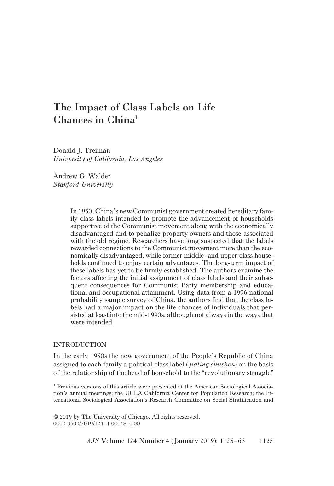# The Impact of Class Labels on Life Chances in China<sup>1</sup>

Donald J. Treiman University of California, Los Angeles

Andrew G. Walder Stanford University

> In 1950, China's new Communist government created hereditary family class labels intended to promote the advancement of households supportive of the Communist movement along with the economically disadvantaged and to penalize property owners and those associated with the old regime. Researchers have long suspected that the labels rewarded connections to the Communist movement more than the economically disadvantaged, while former middle- and upper-class households continued to enjoy certain advantages. The long-term impact of these labels has yet to be firmly established. The authors examine the factors affecting the initial assignment of class labels and their subsequent consequences for Communist Party membership and educational and occupational attainment. Using data from a 1996 national probability sample survey of China, the authors find that the class labels had a major impact on the life chances of individuals that persisted at least into the mid-1990s, although not always in the ways that were intended.

## INTRODUCTION

In the early 1950s the new government of the People's Republic of China assigned to each family a political class label (*jiating chushen*) on the basis of the relationship of the head of household to the "revolutionary struggle"

<sup>1</sup> Previous versions of this article were presented at the American Sociological Association's annual meetings; the UCLA California Center for Population Research; the International Sociological Association's Research Committee on Social Stratification and

© 2019 by The University of Chicago. All rights reserved. 0002-9602/2019/12404-0004\$10.00

AJS Volume 124 Number 4 (January 2019): 1125–63 1125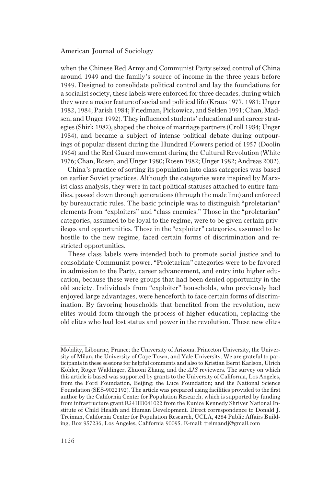when the Chinese Red Army and Communist Party seized control of China around 1949 and the family's source of income in the three years before 1949. Designed to consolidate political control and lay the foundations for a socialist society, these labels were enforced for three decades, during which they were a major feature of social and political life (Kraus 1977, 1981; Unger 1982, 1984; Parish 1984; Friedman, Pickowicz, and Selden 1991; Chan, Madsen, and Unger 1992). They influenced students' educational and career strategies (Shirk 1982), shaped the choice of marriage partners (Croll 1984; Unger 1984), and became a subject of intense political debate during outpourings of popular dissent during the Hundred Flowers period of 1957 (Doolin 1964) and the Red Guard movement during the Cultural Revolution (White 1976; Chan, Rosen, and Unger 1980; Rosen 1982; Unger 1982; Andreas 2002).

China's practice of sorting its population into class categories was based on earlier Soviet practices. Although the categories were inspired by Marxist class analysis, they were in fact political statuses attached to entire families, passed down through generations (through the male line) and enforced by bureaucratic rules. The basic principle was to distinguish "proletarian" elements from "exploiters" and "class enemies." Those in the "proletarian" categories, assumed to be loyal to the regime, were to be given certain privileges and opportunities. Those in the "exploiter" categories, assumed to be hostile to the new regime, faced certain forms of discrimination and restricted opportunities.

These class labels were intended both to promote social justice and to consolidate Communist power. "Proletarian" categories were to be favored in admission to the Party, career advancement, and entry into higher education, because these were groups that had been denied opportunity in the old society. Individuals from "exploiter" households, who previously had enjoyed large advantages, were henceforth to face certain forms of discrimination. By favoring households that benefited from the revolution, new elites would form through the process of higher education, replacing the old elites who had lost status and power in the revolution. These new elites

Mobility, Libourne, France; the University of Arizona, Princeton University, the University of Milan, the University of Cape Town, and Yale University. We are grateful to participants in these sessions for helpful comments and also to Kristian Bernt Karlson, Ulrich Kohler, Roger Waldinger, Zhuoni Zhang, and the AJS reviewers. The survey on which this article is based was supported by grants to the University of California, Los Angeles, from the Ford Foundation, Beijing; the Luce Foundation; and the National Science Foundation (SES-9022192). The article was prepared using facilities provided to the first author by the California Center for Population Research, which is supported by funding from infrastructure grant R24HD041022 from the Eunice Kennedy Shriver National Institute of Child Health and Human Development. Direct correspondence to Donald J. Treiman, California Center for Population Research, UCLA, 4284 Public Affairs Building, Box 957236, Los Angeles, California 90095. E-mail: treimandj@gmail.com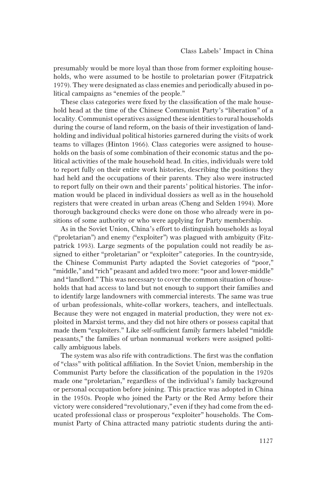presumably would be more loyal than those from former exploiting households, who were assumed to be hostile to proletarian power (Fitzpatrick 1979). They were designated as class enemies and periodically abused in political campaigns as "enemies of the people."

These class categories were fixed by the classification of the male household head at the time of the Chinese Communist Party's "liberation" of a locality. Communist operatives assigned these identities to rural households during the course of land reform, on the basis of their investigation of landholding and individual political histories garnered during the visits of work teams to villages (Hinton 1966). Class categories were assigned to households on the basis of some combination of their economic status and the political activities of the male household head. In cities, individuals were told to report fully on their entire work histories, describing the positions they had held and the occupations of their parents. They also were instructed to report fully on their own and their parents' political histories. The information would be placed in individual dossiers as well as in the household registers that were created in urban areas (Cheng and Selden 1994). More thorough background checks were done on those who already were in positions of some authority or who were applying for Party membership.

As in the Soviet Union, China's effort to distinguish households as loyal ("proletarian") and enemy ("exploiter") was plagued with ambiguity (Fitzpatrick 1993). Large segments of the population could not readily be assigned to either "proletarian" or "exploiter" categories. In the countryside, the Chinese Communist Party adapted the Soviet categories of "poor," "middle," and "rich" peasant and added two more: "poor and lower-middle" and "landlord." This was necessary to cover the common situation of households that had access to land but not enough to support their families and to identify large landowners with commercial interests. The same was true of urban professionals, white-collar workers, teachers, and intellectuals. Because they were not engaged in material production, they were not exploited in Marxist terms, and they did not hire others or possess capital that made them "exploiters." Like self-sufficient family farmers labeled "middle peasants," the families of urban nonmanual workers were assigned politically ambiguous labels.

The system was also rife with contradictions. The first was the conflation of "class" with political affiliation. In the Soviet Union, membership in the Communist Party before the classification of the population in the 1920s made one "proletarian," regardless of the individual's family background or personal occupation before joining. This practice was adopted in China in the 1950s. People who joined the Party or the Red Army before their victory were considered "revolutionary," even if they had come from the educated professional class or prosperous "exploiter" households. The Communist Party of China attracted many patriotic students during the anti-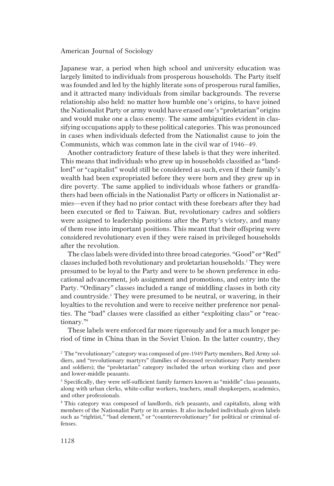Japanese war, a period when high school and university education was largely limited to individuals from prosperous households. The Party itself was founded and led by the highly literate sons of prosperous rural families, and it attracted many individuals from similar backgrounds. The reverse relationship also held: no matter how humble one's origins, to have joined the Nationalist Party or army would have erased one's"proletarian" origins and would make one a class enemy. The same ambiguities evident in classifying occupations apply to these political categories. This was pronounced in cases when individuals defected from the Nationalist cause to join the Communists, which was common late in the civil war of 1946–49.

Another contradictory feature of these labels is that they were inherited. This means that individuals who grew up in households classified as "landlord" or "capitalist" would still be considered as such, even if their family's wealth had been expropriated before they were born and they grew up in dire poverty. The same applied to individuals whose fathers or grandfathers had been officials in the Nationalist Party or officers in Nationalist armies—even if they had no prior contact with these forebears after they had been executed or fled to Taiwan. But, revolutionary cadres and soldiers were assigned to leadership positions after the Party's victory, and many of them rose into important positions. This meant that their offspring were considered revolutionary even if they were raised in privileged households after the revolution.

The class labels were divided into three broad categories."Good" or"Red" classes included both revolutionary and proletarian households.<sup>2</sup> They were presumed to be loyal to the Party and were to be shown preference in educational advancement, job assignment and promotions, and entry into the Party. "Ordinary" classes included a range of middling classes in both city and countryside.<sup>3</sup> They were presumed to be neutral, or wavering, in their loyalties to the revolution and were to receive neither preference nor penalties. The "bad" classes were classified as either "exploiting class" or "reactionary." 4

These labels were enforced far more rigorously and for a much longer period of time in China than in the Soviet Union. In the latter country, they

 $2$  The "revolutionary" category was composed of pre-1949 Party members, Red Army soldiers, and "revolutionary martyrs" (families of deceased revolutionary Party members and soldiers); the "proletarian" category included the urban working class and poor and lower-middle peasants.

<sup>3</sup> Specifically, they were self-sufficient family farmers known as "middle" class peasants, along with urban clerks, white-collar workers, teachers, small shopkeepers, academics, and other professionals.

<sup>4</sup> This category was composed of landlords, rich peasants, and capitalists, along with members of the Nationalist Party or its armies. It also included individuals given labels such as "rightist," "bad element," or "counterrevolutionary" for political or criminal offenses.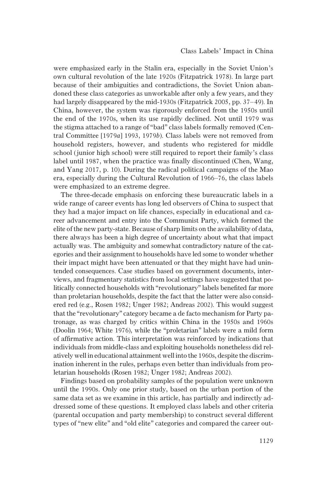were emphasized early in the Stalin era, especially in the Soviet Union's own cultural revolution of the late 1920s (Fitzpatrick 1978). In large part because of their ambiguities and contradictions, the Soviet Union abandoned these class categories as unworkable after only a few years, and they had largely disappeared by the mid-1930s (Fitzpatrick 2005, pp. 37–49). In China, however, the system was rigorously enforced from the 1950s until the end of the 1970s, when its use rapidly declined. Not until 1979 was the stigma attached to a range of "bad" class labels formally removed (Central Committee [1979a] 1993, 1979b). Class labels were not removed from household registers, however, and students who registered for middle school ( junior high school) were still required to report their family's class label until 1987, when the practice was finally discontinued (Chen, Wang, and Yang 2017, p. 10). During the radical political campaigns of the Mao era, especially during the Cultural Revolution of 1966–76, the class labels were emphasized to an extreme degree.

The three-decade emphasis on enforcing these bureaucratic labels in a wide range of career events has long led observers of China to suspect that they had a major impact on life chances, especially in educational and career advancement and entry into the Communist Party, which formed the elite of the new party-state. Because of sharp limits on the availability of data, there always has been a high degree of uncertainty about what that impact actually was. The ambiguity and somewhat contradictory nature of the categories and their assignment to households have led some to wonder whether their impact might have been attenuated or that they might have had unintended consequences. Case studies based on government documents, interviews, and fragmentary statistics from local settings have suggested that politically connected households with "revolutionary" labels benefited far more than proletarian households, despite the fact that the latter were also considered red (e.g., Rosen 1982; Unger 1982; Andreas 2002). This would suggest that the "revolutionary" category became a de facto mechanism for Party patronage, as was charged by critics within China in the 1950s and 1960s (Doolin 1964; White 1976), while the "proletarian" labels were a mild form of affirmative action. This interpretation was reinforced by indications that individuals from middle-class and exploiting households nonetheless did relatively well in educational attainment well into the 1960s, despite the discrimination inherent in the rules, perhaps even better than individuals from proletarian households (Rosen 1982; Unger 1982; Andreas 2002).

Findings based on probability samples of the population were unknown until the 1990s. Only one prior study, based on the urban portion of the same data set as we examine in this article, has partially and indirectly addressed some of these questions. It employed class labels and other criteria (parental occupation and party membership) to construct several different types of "new elite" and "old elite" categories and compared the career out-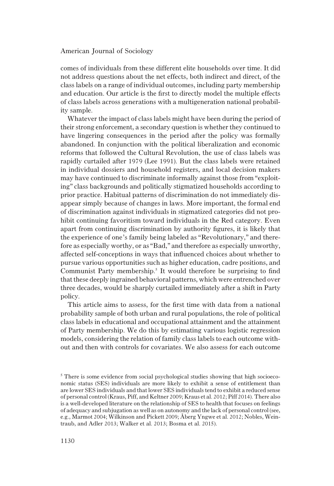comes of individuals from these different elite households over time. It did not address questions about the net effects, both indirect and direct, of the class labels on a range of individual outcomes, including party membership and education. Our article is the first to directly model the multiple effects of class labels across generations with a multigeneration national probability sample.

Whatever the impact of class labels might have been during the period of their strong enforcement, a secondary question is whether they continued to have lingering consequences in the period after the policy was formally abandoned. In conjunction with the political liberalization and economic reforms that followed the Cultural Revolution, the use of class labels was rapidly curtailed after 1979 (Lee 1991). But the class labels were retained in individual dossiers and household registers, and local decision makers may have continued to discriminate informally against those from "exploiting" class backgrounds and politically stigmatized households according to prior practice. Habitual patterns of discrimination do not immediately disappear simply because of changes in laws. More important, the formal end of discrimination against individuals in stigmatized categories did not prohibit continuing favoritism toward individuals in the Red category. Even apart from continuing discrimination by authority figures, it is likely that the experience of one's family being labeled as "Revolutionary," and therefore as especially worthy, or as"Bad," and therefore as especially unworthy, affected self-conceptions in ways that influenced choices about whether to pursue various opportunities such as higher education, cadre positions, and Communist Party membership.<sup>5</sup> It would therefore be surprising to find that these deeply ingrained behavioral patterns, which were entrenched over three decades, would be sharply curtailed immediately after a shift in Party policy.

This article aims to assess, for the first time with data from a national probability sample of both urban and rural populations, the role of political class labels in educational and occupational attainment and the attainment of Party membership. We do this by estimating various logistic regression models, considering the relation of family class labels to each outcome without and then with controls for covariates. We also assess for each outcome

<sup>&</sup>lt;sup>5</sup> There is some evidence from social psychological studies showing that high socioeconomic status (SES) individuals are more likely to exhibit a sense of entitlement than are lower SES individuals and that lower SES individuals tend to exhibit a reduced sense of personal control (Kraus, Piff, and Keltner 2009; Kraus et al. 2012; Piff 2014). There also is a well-developed literature on the relationship of SES to health that focuses on feelings of adequacy and subjugation as well as on autonomy and the lack of personal control (see, e.g., Marmot 2004; Wilkinson and Pickett 2009; Åberg Yngwe et al. 2012; Nobles, Weintraub, and Adler 2013; Walker et al. 2013; Bosma et al. 2015).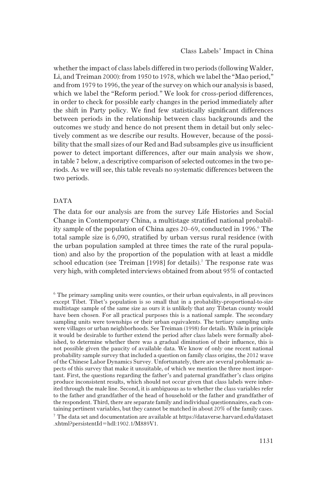whether the impact of class labels differed in two periods (following Walder, Li, and Treiman 2000): from 1950 to 1978, which we label the "Mao period," and from 1979 to 1996, the year of the survey on which our analysis is based, which we label the "Reform period." We look for cross-period differences, in order to check for possible early changes in the period immediately after the shift in Party policy. We find few statistically significant differences between periods in the relationship between class backgrounds and the outcomes we study and hence do not present them in detail but only selectively comment as we describe our results. However, because of the possibility that the small sizes of our Red and Bad subsamples give us insufficient power to detect important differences, after our main analysis we show, in table 7 below, a descriptive comparison of selected outcomes in the two periods. As we will see, this table reveals no systematic differences between the two periods.

## DATA

The data for our analysis are from the survey Life Histories and Social Change in Contemporary China, a multistage stratified national probability sample of the population of China ages 20–69, conducted in 1996.<sup>6</sup> The total sample size is 6,090, stratified by urban versus rural residence (with the urban population sampled at three times the rate of the rural population) and also by the proportion of the population with at least a middle school education (see Treiman [1998] for details).<sup>7</sup> The response rate was very high, with completed interviews obtained from about 95% of contacted

 $6$  The primary sampling units were counties, or their urban equivalents, in all provinces except Tibet. Tibet's population is so small that in a probability-proportional-to-size multistage sample of the same size as ours it is unlikely that any Tibetan county would have been chosen. For all practical purposes this is a national sample. The secondary sampling units were townships or their urban equivalents. The tertiary sampling units were villages or urban neighborhoods. See Treiman (1998) for details. While in principle it would be desirable to further extend the period after class labels were formally abolished, to determine whether there was a gradual diminution of their influence, this is not possible given the paucity of available data. We know of only one recent national probability sample survey that included a question on family class origins, the 2012 wave of the Chinese Labor Dynamics Survey. Unfortunately, there are several problematic aspects of this survey that make it unsuitable, of which we mention the three most important. First, the questions regarding the father's and paternal grandfather's class origins produce inconsistent results, which should not occur given that class labels were inherited through the male line. Second, it is ambiguous as to whether the class variables refer to the father and grandfather of the head of household or the father and grandfather of the respondent. Third, there are separate family and individual questionnaires, each containing pertinent variables, but they cannot be matched in about 20% of the family cases.

<sup>7</sup> The data set and documentation are available at https://dataverse.harvard.edu/dataset .xhtml?persistentId=hdl:1902.1/M889V1.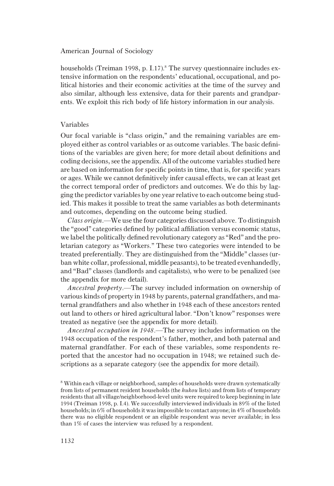households (Treiman 1998, p. I.17).<sup>8</sup> The survey questionnaire includes extensive information on the respondents' educational, occupational, and political histories and their economic activities at the time of the survey and also similar, although less extensive, data for their parents and grandparents. We exploit this rich body of life history information in our analysis.

## Variables

Our focal variable is "class origin," and the remaining variables are employed either as control variables or as outcome variables. The basic definitions of the variables are given here; for more detail about definitions and coding decisions, see the appendix. All of the outcome variables studied here are based on information for specific points in time, that is, for specific years or ages. While we cannot definitively infer causal effects, we can at least get the correct temporal order of predictors and outcomes. We do this by lagging the predictor variables by one year relative to each outcome being studied. This makes it possible to treat the same variables as both determinants and outcomes, depending on the outcome being studied.

Class origin.—We use the four categories discussed above. To distinguish the "good" categories defined by political affiliation versus economic status, we label the politically defined revolutionary category as"Red" and the proletarian category as "Workers." These two categories were intended to be treated preferentially. They are distinguished from the "Middle" classes (urban white collar, professional, middle peasants), to be treated evenhandedly, and "Bad" classes (landlords and capitalists), who were to be penalized (see the appendix for more detail).

Ancestral property.—The survey included information on ownership of various kinds of property in 1948 by parents, paternal grandfathers, and maternal grandfathers and also whether in 1948 each of these ancestors rented out land to others or hired agricultural labor. "Don't know" responses were treated as negative (see the appendix for more detail).

Ancestral occupation in 1948.—The survey includes information on the 1948 occupation of the respondent's father, mother, and both paternal and maternal grandfather. For each of these variables, some respondents reported that the ancestor had no occupation in 1948; we retained such descriptions as a separate category (see the appendix for more detail).

<sup>&</sup>lt;sup>8</sup> Within each village or neighborhood, samples of households were drawn systematically from lists of permanent resident households (the hukou lists) and from lists of temporary residents that all village/neighborhood-level units were required to keep beginning in late 1994 (Treiman 1998, p. I.4). We successfully interviewed individuals in 89% of the listed households; in 6% of households it was impossible to contact anyone; in 4% of households there was no eligible respondent or an eligible respondent was never available; in less than 1% of cases the interview was refused by a respondent.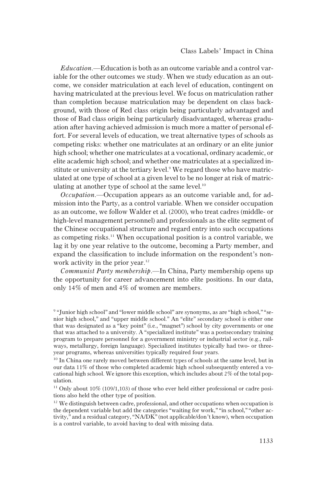Education.—Education is both as an outcome variable and a control variable for the other outcomes we study. When we study education as an outcome, we consider matriculation at each level of education, contingent on having matriculated at the previous level. We focus on matriculation rather than completion because matriculation may be dependent on class background, with those of Red class origin being particularly advantaged and those of Bad class origin being particularly disadvantaged, whereas graduation after having achieved admission is much more a matter of personal effort. For several levels of education, we treat alternative types of schools as competing risks: whether one matriculates at an ordinary or an elite junior high school; whether one matriculates at a vocational, ordinary academic, or elite academic high school; and whether one matriculates at a specialized institute or university at the tertiary level.<sup>9</sup> We regard those who have matriculated at one type of school at a given level to be no longer at risk of matriculating at another type of school at the same level.<sup>10</sup>

Occupation.—Occupation appears as an outcome variable and, for admission into the Party, as a control variable. When we consider occupation as an outcome, we follow Walder et al. (2000), who treat cadres (middle- or high-level management personnel) and professionals as the elite segment of the Chinese occupational structure and regard entry into such occupations as competing risks.<sup>11</sup> When occupational position is a control variable, we lag it by one year relative to the outcome, becoming a Party member, and expand the classification to include information on the respondent's nonwork activity in the prior year.<sup>12</sup>

Communist Party membership.—In China, Party membership opens up the opportunity for career advancement into elite positions. In our data, only 14% of men and 4% of women are members.

<sup>&</sup>lt;sup>9</sup> "Junior high school" and "lower middle school" are synonyms, as are "high school," "senior high school," and "upper middle school." An "elite" secondary school is either one that was designated as a "key point" (i.e., "magnet") school by city governments or one that was attached to a university. A "specialized institute" was a postsecondary training program to prepare personnel for a government ministry or industrial sector (e.g., railways, metallurgy, foreign language). Specialized institutes typically had two- or threeyear programs, whereas universities typically required four years.

<sup>&</sup>lt;sup>10</sup> In China one rarely moved between different types of schools at the same level, but in our data 11% of those who completed academic high school subsequently entered a vocational high school. We ignore this exception, which includes about 2% of the total population.

 $11$  Only about 10% (109/1,103) of those who ever held either professional or cadre positions also held the other type of position.

 $12$  We distinguish between cadre, professional, and other occupations when occupation is the dependent variable but add the categories "waiting for work," "in school," "other activity," and a residual category, "NA/DK" (not applicable/don't know), when occupation is a control variable, to avoid having to deal with missing data.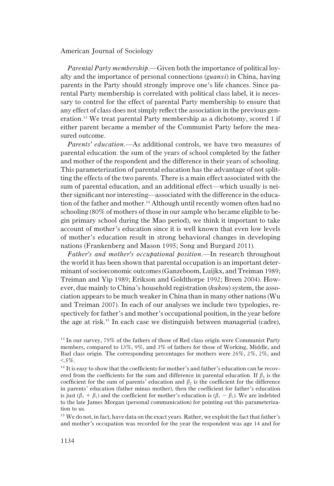Parental Party membership.—Given both the importance of political loyalty and the importance of personal connections (guanxi) in China, having parents in the Party should strongly improve one's life chances. Since parental Party membership is correlated with political class label, it is necessary to control for the effect of parental Party membership to ensure that any effect of class does not simply reflect the association in the previous generation.<sup>13</sup> We treat parental Party membership as a dichotomy, scored 1 if either parent became a member of the Communist Party before the measured outcome.

Parents' education.—As additional controls, we have two measures of parental education: the sum of the years of school completed by the father and mother of the respondent and the difference in their years of schooling. This parameterization of parental education has the advantage of not splitting the effects of the two parents. There is a main effect associated with the sum of parental education, and an additional effect—which usually is neither significant nor interesting—associated with the difference in the education of the father and mother.<sup>14</sup> Although until recently women often had no schooling (80% of mothers of those in our sample who became eligible to begin primary school during the Mao period), we think it important to take account of mother's education since it is well known that even low levels of mother's education result in strong behavioral changes in developing nations (Frankenberg and Mason 1995; Song and Burgard 2011).

Father's and mother's occupational position.—In research throughout the world it has been shown that parental occupation is an important determinant of socioeconomic outcomes (Ganzeboom, Luijkx, and Treiman 1989; Treiman and Yip 1989; Erikson and Goldthorpe 1992; Breen 2004). However, due mainly to China's household registration (hukou) system, the association appears to be much weaker in China than in many other nations (Wu and Treiman 2007). In each of our analyses we include two typologies, respectively for father's and mother's occupational position, in the year before the age at risk.<sup>15</sup> In each case we distinguish between managerial (cadre),

<sup>15</sup> We do not, in fact, have data on the exact years. Rather, we exploit the fact that father's and mother's occupation was recorded for the year the respondent was age 14 and for

<sup>&</sup>lt;sup>13</sup> In our survey, 79% of the fathers of those of Red class origin were Communist Party members, compared to 13%, 9%, and 3% of fathers for those of Working, Middle, and Bad class origin. The corresponding percentages for mothers were 26%, 2%, 2%, and  $< 5\%$ .

<sup>&</sup>lt;sup>14</sup> It is easy to show that the coefficients for mother's and father's education can be recovered from the coefficients for the sum and difference in parental education. If  $\beta_1$  is the coefficient for the sum of parents' education and  $\beta_2$  is the coefficient for the difference in parents' education (father minus mother), then the coefficient for father's education is just  $(\beta_1 + \beta_2)$  and the coefficient for mother's education is  $(\beta_1 - \beta_2)$ . We are indebted to the late James Morgan (personal communication) for pointing out this parameterization to us.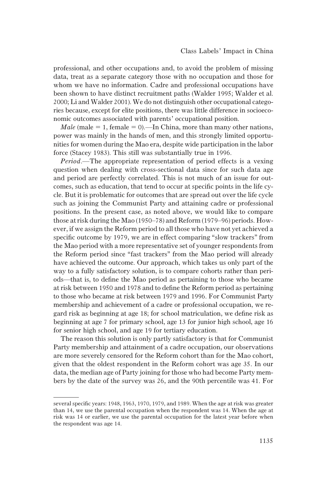professional, and other occupations and, to avoid the problem of missing data, treat as a separate category those with no occupation and those for whom we have no information. Cadre and professional occupations have been shown to have distinct recruitment paths (Walder 1995; Walder et al. 2000; Li and Walder 2001). We do not distinguish other occupational categories because, except for elite positions, there was little difference in socioeconomic outcomes associated with parents' occupational position.

*Male* (male  $= 1$ , female  $= 0$ ).—In China, more than many other nations, power was mainly in the hands of men, and this strongly limited opportunities for women during the Mao era, despite wide participation in the labor force (Stacey 1983). This still was substantially true in 1996.

Period.—The appropriate representation of period effects is a vexing question when dealing with cross-sectional data since for such data age and period are perfectly correlated. This is not much of an issue for outcomes, such as education, that tend to occur at specific points in the life cycle. But it is problematic for outcomes that are spread out over the life cycle such as joining the Communist Party and attaining cadre or professional positions. In the present case, as noted above, we would like to compare those at risk during the Mao (1950–78) and Reform (1979–96) periods. However, if we assign the Reform period to all those who have not yet achieved a specific outcome by 1979, we are in effect comparing "slow trackers" from the Mao period with a more representative set of younger respondents from the Reform period since "fast trackers" from the Mao period will already have achieved the outcome. Our approach, which takes us only part of the way to a fully satisfactory solution, is to compare cohorts rather than periods—that is, to define the Mao period as pertaining to those who became at risk between 1950 and 1978 and to define the Reform period as pertaining to those who became at risk between 1979 and 1996. For Communist Party membership and achievement of a cadre or professional occupation, we regard risk as beginning at age 18; for school matriculation, we define risk as beginning at age 7 for primary school, age 13 for junior high school, age 16 for senior high school, and age 19 for tertiary education.

The reason this solution is only partly satisfactory is that for Communist Party membership and attainment of a cadre occupation, our observations are more severely censored for the Reform cohort than for the Mao cohort, given that the oldest respondent in the Reform cohort was age 35. In our data, the median age of Party joining for those who had become Party members by the date of the survey was 26, and the 90th percentile was 41. For

several specific years: 1948, 1963, 1970, 1979, and 1989. When the age at risk was greater than 14, we use the parental occupation when the respondent was 14. When the age at risk was 14 or earlier, we use the parental occupation for the latest year before when the respondent was age 14.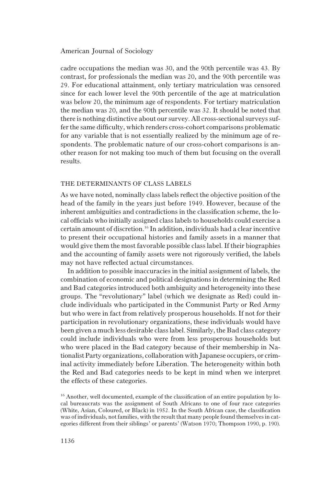cadre occupations the median was 30, and the 90th percentile was 43. By contrast, for professionals the median was 20, and the 90th percentile was 29. For educational attainment, only tertiary matriculation was censored since for each lower level the 90th percentile of the age at matriculation was below 20, the minimum age of respondents. For tertiary matriculation the median was 20, and the 90th percentile was 32. It should be noted that there is nothing distinctive about our survey. All cross-sectional surveys suffer the same difficulty, which renders cross-cohort comparisons problematic for any variable that is not essentially realized by the minimum age of respondents. The problematic nature of our cross-cohort comparisons is another reason for not making too much of them but focusing on the overall results.

## THE DETERMINANTS OF CLASS LABELS

As we have noted, nominally class labels reflect the objective position of the head of the family in the years just before 1949. However, because of the inherent ambiguities and contradictions in the classification scheme, the local officials who initially assigned class labels to households could exercise a certain amount of discretion.<sup>16</sup> In addition, individuals had a clear incentive to present their occupational histories and family assets in a manner that would give them the most favorable possible class label. If their biographies and the accounting of family assets were not rigorously verified, the labels may not have reflected actual circumstances.

In addition to possible inaccuracies in the initial assignment of labels, the combination of economic and political designations in determining the Red and Bad categories introduced both ambiguity and heterogeneity into these groups. The "revolutionary" label (which we designate as Red) could include individuals who participated in the Communist Party or Red Army but who were in fact from relatively prosperous households. If not for their participation in revolutionary organizations, these individuals would have been given a much less desirable class label. Similarly, the Bad class category could include individuals who were from less prosperous households but who were placed in the Bad category because of their membership in Nationalist Party organizations, collaboration with Japanese occupiers, or criminal activity immediately before Liberation. The heterogeneity within both the Red and Bad categories needs to be kept in mind when we interpret the effects of these categories.

 $16$  Another, well documented, example of the classification of an entire population by local bureaucrats was the assignment of South Africans to one of four race categories (White, Asian, Coloured, or Black) in 1952. In the South African case, the classification was of individuals, not families, with the result that many people found themselves in categories different from their siblings' or parents' (Watson 1970; Thompson 1990, p. 190).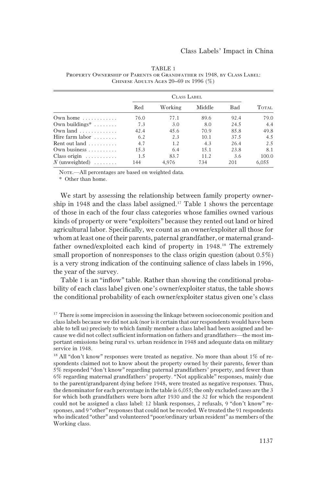|                                      |      | CLASS LABEL |        |      |       |
|--------------------------------------|------|-------------|--------|------|-------|
|                                      | Red  | Working     | Middle | Bad  | TOTAL |
| Own home $\dots\dots\dots\dots$      | 76.0 | 77.1        | 89.6   | 92.4 | 79.0  |
| Own buildings* $\dots \dots$         | 7.3  | 3.0         | 8.0    | 24.5 | 4.4   |
| Own land $\ldots \ldots \ldots$      | 42.4 | 45.6        | 70.9   | 85.8 | 49.8  |
| Hire farm labor $\ldots \ldots$      | 6.2  | 2.3         | 10.1   | 37.5 | 4.5   |
| Rent out land $\ldots \ldots \ldots$ | 4.7  | 1.2         | 4.3    | 26.4 | 2.5   |
| Own business $\dots \dots$           | 15.3 | 6.4         | 15.1   | 23.8 | 8.1   |
| Class origin $\dots \dots \dots$     | 1.5  | 83.7        | 11.2   | 3.6  | 100.0 |
| N (unweighted) $\dots\dots$          | 144  | 4,976       | 734    | 201  | 6,055 |

TABLE 1 Property Ownership of Parents or Grandfather in 1948, by Class Label: Chinese Adults Ages 20–69 in 1996 (%)

NOTE.—All percentages are based on weighted data.

\* Other than home.

We start by assessing the relationship between family property ownership in 1948 and the class label assigned.<sup>17</sup> Table 1 shows the percentage of those in each of the four class categories whose families owned various kinds of property or were "exploiters" because they rented out land or hired agricultural labor. Specifically, we count as an owner/exploiter all those for whom at least one of their parents, paternal grandfather, or maternal grandfather owned/exploited each kind of property in 1948.<sup>18</sup> The extremely small proportion of nonresponses to the class origin question (about 0.5%) is a very strong indication of the continuing salience of class labels in 1996, the year of the survey.

Table 1 is an "inflow" table. Rather than showing the conditional probability of each class label given one's owner/exploiter status, the table shows the conditional probability of each owner/exploiter status given one's class

 $17$  There is some imprecision in assessing the linkage between socioeconomic position and class labels because we did not ask (nor is it certain that our respondents would have been able to tell us) precisely to which family member a class label had been assigned and because we did not collect sufficient information on fathers and grandfathers—the most important omissions being rural vs. urban residence in 1948 and adequate data on military service in 1948.

<sup>&</sup>lt;sup>18</sup> All "don't know" responses were treated as negative. No more than about 1% of respondents claimed not to know about the property owned by their parents, fewer than 5% responded "don't know" regarding paternal grandfathers' property, and fewer than 6% regarding maternal grandfathers' property. "Not applicable" responses, mainly due to the parent/grandparent dying before 1948, were treated as negative responses. Thus, the denominator for each percentage in the table is 6,055; the only excluded cases are the 3 for which both grandfathers were born after 1930 and the 32 for which the respondent could not be assigned a class label: 12 blank responses, 2 refusals, 9 "don't know" responses, and 9 "other" responses that could not be recoded. We treated the 91 respondents who indicated "other" and volunteered "poor/ordinary urban resident" as members of the Working class.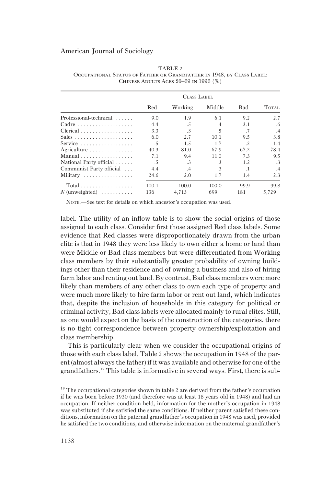|                                              |       | <b>CLASS LABEL</b> |           |           |              |
|----------------------------------------------|-------|--------------------|-----------|-----------|--------------|
|                                              | Red   | Working            | Middle    | Bad       | <b>TOTAL</b> |
| Professional-technical                       | 9.0   | 1.9                | 6.1       | 9.2       | 2.7          |
| Cadre                                        | 4.4   | .5                 | .4        | 3.1       | .6           |
| $Clerical$                                   | 3.3   | $\cdot$ 3          | .5        |           | .4           |
|                                              | 6.0   | 2.7                | 10.1      | 9.5       | 3.8          |
| Service $\ldots \ldots \ldots \ldots \ldots$ | .5    | 1.5                | 1.7       | $\cdot$   | 1.4          |
| Agriculture                                  | 40.3  | 81.0               | 67.9      | 67.2      | 78.4         |
| Manual                                       | 7.1   | 9.4                | 11.0      | 7.3       | 9.5          |
| National Party official                      | .5    | $\cdot$ 3          | $\cdot$ 3 | 1.2       | $\cdot$ 3    |
| Communist Party official                     | 4.4   | $\cdot$ 4          | $\cdot$ 3 | $\cdot$ 1 | .4           |
| Military                                     | 24.6  | 2.0                | 1.7       | 1.4       | 2.3          |
| $Total \dots \dots \dots \dots \dots \dots$  | 100.1 | 100.0              | 100.0     | 99.9      | 99.8         |
| $N$ (unweighted) $\ldots \ldots \ldots$      | 136   | 4,713              | 699       | 181       | 5,729        |

TABLE 2 Occupational Status of Father or Grandfather in 1948, by Class Label: Chinese Adults Ages 20–69 in 1996 (%)

NOTE.—See text for details on which ancestor's occupation was used.

label. The utility of an inflow table is to show the social origins of those assigned to each class. Consider first those assigned Red class labels. Some evidence that Red classes were disproportionately drawn from the urban elite is that in 1948 they were less likely to own either a home or land than were Middle or Bad class members but were differentiated from Working class members by their substantially greater probability of owning buildings other than their residence and of owning a business and also of hiring farm labor and renting out land. By contrast, Bad class members were more likely than members of any other class to own each type of property and were much more likely to hire farm labor or rent out land, which indicates that, despite the inclusion of households in this category for political or criminal activity, Bad class labels were allocated mainly to rural elites. Still, as one would expect on the basis of the construction of the categories, there is no tight correspondence between property ownership/exploitation and class membership.

This is particularly clear when we consider the occupational origins of those with each class label. Table 2 shows the occupation in 1948 of the parent (almost always the father) if it was available and otherwise for one of the grandfathers.<sup>19</sup> This table is informative in several ways. First, there is sub-

 $19$  The occupational categories shown in table 2 are derived from the father's occupation if he was born before 1930 (and therefore was at least 18 years old in 1948) and had an occupation. If neither condition held, information for the mother's occupation in 1948 was substituted if she satisfied the same conditions. If neither parent satisfied these conditions, information on the paternal grandfather's occupation in 1948 was used, provided he satisfied the two conditions, and otherwise information on the maternal grandfather's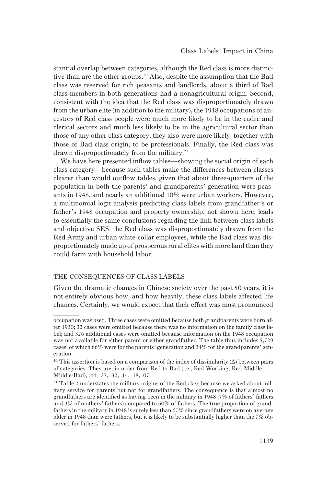stantial overlap between categories, although the Red class is more distinctive than are the other groups.<sup>20</sup> Also, despite the assumption that the Bad class was reserved for rich peasants and landlords, about a third of Bad class members in both generations had a nonagricultural origin. Second, consistent with the idea that the Red class was disproportionately drawn from the urban elite (in addition to the military), the 1948 occupations of ancestors of Red class people were much more likely to be in the cadre and clerical sectors and much less likely to be in the agricultural sector than those of any other class category; they also were more likely, together with those of Bad class origin, to be professionals. Finally, the Red class was drawn disproportionately from the military.<sup>21</sup>

We have here presented inflow tables—showing the social origin of each class category—because such tables make the differences between classes clearer than would outflow tables, given that about three-quarters of the population in both the parents' and grandparents' generation were peasants in 1948, and nearly an additional 10% were urban workers. However, a multinomial logit analysis predicting class labels from grandfather's or father's 1948 occupation and property ownership, not shown here, leads to essentially the same conclusions regarding the link between class labels and objective SES: the Red class was disproportionately drawn from the Red Army and urban white-collar employees, while the Bad class was disproportionately made up of prosperous rural elites with more land than they could farm with household labor.

## THE CONSEQUENCES OF CLASS LABELS

Given the dramatic changes in Chinese society over the past 50 years, it is not entirely obvious how, and how heavily, these class labels affected life chances. Certainly, we would expect that their effect was most pronounced

occupation was used. Three cases were omitted because both grandparents were born after 1930; 32 cases were omitted because there was no information on the family class label; and 326 additional cases were omitted because information on the 1948 occupation was not available for either parent or either grandfather. The table thus includes 5,729 cases, of which 66% were for the parents' generation and 34% for the grandparents' generation.

<sup>&</sup>lt;sup>20</sup> This assertion is based on a comparison of the index of dissimilarity  $(\Delta)$  between pairs of categories. They are, in order from Red to Bad (i.e., Red-Working, Red-Middle, ... Middle-Bad), .44, .37, .32, .14, .18, .07.

 $21$ <sup>21</sup> Table 2 understates the military origins of the Red class because we asked about military service for parents but not for grandfathers. The consequence is that almost no grandfathers are identified as having been in the military in 1948 (7% of fathers' fathers and 3% of mothers' fathers) compared to 60% of fathers. The true proportion of grandfathers in the military in 1948 is surely less than 60% since grandfathers were on average older in 1948 than were fathers, but it is likely to be substantially higher than the 7% observed for fathers' fathers.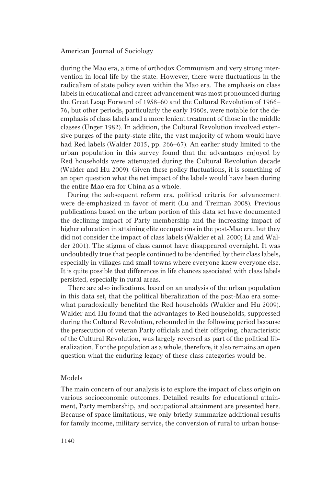during the Mao era, a time of orthodox Communism and very strong intervention in local life by the state. However, there were fluctuations in the radicalism of state policy even within the Mao era. The emphasis on class labels in educational and career advancement was most pronounced during the Great Leap Forward of 1958–60 and the Cultural Revolution of 1966– 76, but other periods, particularly the early 1960s, were notable for the deemphasis of class labels and a more lenient treatment of those in the middle classes (Unger 1982). In addition, the Cultural Revolution involved extensive purges of the party-state elite, the vast majority of whom would have had Red labels (Walder 2015, pp. 266–67). An earlier study limited to the urban population in this survey found that the advantages enjoyed by Red households were attenuated during the Cultural Revolution decade (Walder and Hu 2009). Given these policy fluctuations, it is something of an open question what the net impact of the labels would have been during the entire Mao era for China as a whole.

During the subsequent reform era, political criteria for advancement were de-emphasized in favor of merit (Lu and Treiman 2008). Previous publications based on the urban portion of this data set have documented the declining impact of Party membership and the increasing impact of higher education in attaining elite occupations in the post-Mao era, but they did not consider the impact of class labels (Walder et al. 2000; Li and Walder 2001). The stigma of class cannot have disappeared overnight. It was undoubtedly true that people continued to be identified by their class labels, especially in villages and small towns where everyone knew everyone else. It is quite possible that differences in life chances associated with class labels persisted, especially in rural areas.

There are also indications, based on an analysis of the urban population in this data set, that the political liberalization of the post-Mao era somewhat paradoxically benefited the Red households (Walder and Hu 2009). Walder and Hu found that the advantages to Red households, suppressed during the Cultural Revolution, rebounded in the following period because the persecution of veteran Party officials and their offspring, characteristic of the Cultural Revolution, was largely reversed as part of the political liberalization. For the population as a whole, therefore, it also remains an open question what the enduring legacy of these class categories would be.

## Models

The main concern of our analysis is to explore the impact of class origin on various socioeconomic outcomes. Detailed results for educational attainment, Party membership, and occupational attainment are presented here. Because of space limitations, we only briefly summarize additional results for family income, military service, the conversion of rural to urban house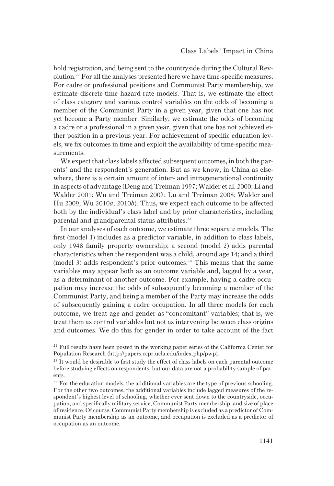hold registration, and being sent to the countryside during the Cultural Revolution.<sup>22</sup> For all the analyses presented here we have time-specific measures. For cadre or professional positions and Communist Party membership, we estimate discrete-time hazard-rate models. That is, we estimate the effect of class category and various control variables on the odds of becoming a member of the Communist Party in a given year, given that one has not yet become a Party member. Similarly, we estimate the odds of becoming a cadre or a professional in a given year, given that one has not achieved either position in a previous year. For achievement of specific education levels, we fix outcomes in time and exploit the availability of time-specific measurements.

We expect that class labels affected subsequent outcomes, in both the parents' and the respondent's generation. But as we know, in China as elsewhere, there is a certain amount of inter- and intragenerational continuity in aspects of advantage (Deng and Treiman 1997; Walder et al. 2000; Li and Walder 2001; Wu and Treiman 2007; Lu and Treiman 2008; Walder and Hu 2009; Wu 2010a, 2010b). Thus, we expect each outcome to be affected both by the individual's class label and by prior characteristics, including parental and grandparental status attributes.<sup>23</sup>

In our analyses of each outcome, we estimate three separate models. The first (model 1) includes as a predictor variable, in addition to class labels, only 1948 family property ownership; a second (model 2) adds parental characteristics when the respondent was a child, around age 14; and a third (model 3) adds respondent's prior outcomes.<sup>24</sup> This means that the same variables may appear both as an outcome variable and, lagged by a year, as a determinant of another outcome. For example, having a cadre occupation may increase the odds of subsequently becoming a member of the Communist Party, and being a member of the Party may increase the odds of subsequently gaining a cadre occupation. In all three models for each outcome, we treat age and gender as "concomitant" variables; that is, we treat them as control variables but not as intervening between class origins and outcomes. We do this for gender in order to take account of the fact

<sup>&</sup>lt;sup>22</sup> Full results have been posted in the working paper series of the California Center for Population Research (http://papers.ccpr.ucla.edu/index.php/pwp).

<sup>&</sup>lt;sup>23</sup> It would be desirable to first study the effect of class labels on each parental outcome before studying effects on respondents, but our data are not a probability sample of parents.

 $24$  For the education models, the additional variables are the type of previous schooling. For the other two outcomes, the additional variables include lagged measures of the respondent's highest level of schooling, whether ever sent down to the countryside, occupation, and specifically military service, Communist Party membership, and size of place of residence. Of course, Communist Party membership is excluded as a predictor of Communist Party membership as an outcome, and occupation is excluded as a predictor of occupation as an outcome.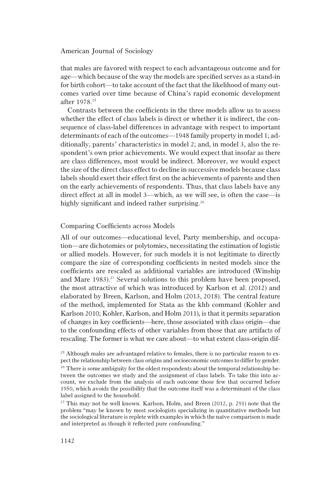that males are favored with respect to each advantageous outcome and for age—which because of the way the models are specified serves as a stand-in for birth cohort—to take account of the fact that the likelihood of many outcomes varied over time because of China's rapid economic development after 1978.<sup>25</sup>

Contrasts between the coefficients in the three models allow us to assess whether the effect of class labels is direct or whether it is indirect, the consequence of class-label differences in advantage with respect to important determinants of each of the outcomes—1948 family property in model 1; additionally, parents' characteristics in model 2; and, in model 3, also the respondent's own prior achievements. We would expect that insofar as there are class differences, most would be indirect. Moreover, we would expect the size of the direct class effect to decline in successive models because class labels should exert their effect first on the achievements of parents and then on the early achievements of respondents. Thus, that class labels have any direct effect at all in model 3—which, as we will see, is often the case—is highly significant and indeed rather surprising.<sup>26</sup>

## Comparing Coefficients across Models

All of our outcomes—educational level, Party membership, and occupation—are dichotomies or polytomies, necessitating the estimation of logistic or allied models. However, for such models it is not legitimate to directly compare the size of corresponding coefficients in nested models since the coefficients are rescaled as additional variables are introduced (Winship and Mare 1983).<sup>27</sup> Several solutions to this problem have been proposed, the most attractive of which was introduced by Karlson et al. (2012) and elaborated by Breen, Karlson, and Holm (2013, 2018). The central feature of the method, implemented for Stata as the khb command (Kohler and Karlson 2010; Kohler, Karlson, and Holm 2011), is that it permits separation of changes in key coefficients—here, those associated with class origin—due to the confounding effects of other variables from those that are artifacts of rescaling. The former is what we care about—to what extent class-origin dif-

 $25$  Although males are advantaged relative to females, there is no particular reason to expect the relationship between class origins and socioeconomic outcomes to differ by gender.  $26$  There is some ambiguity for the oldest respondents about the temporal relationship between the outcomes we study and the assignment of class labels. To take this into account, we exclude from the analysis of each outcome those few that occurred before 1950, which avoids the possibility that the outcome itself was a determinant of the class label assigned to the household.

 $27$  This may not be well known. Karlson, Holm, and Breen (2012, p. 291) note that the problem "may be known by most sociologists specializing in quantitative methods but the sociological literature is replete with examples in which the naïve comparison is made and interpreted as though it reflected pure confounding."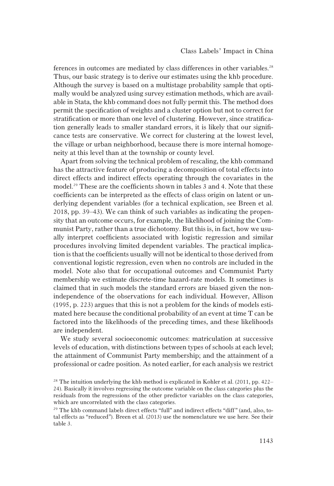ferences in outcomes are mediated by class differences in other variables.<sup>28</sup> Thus, our basic strategy is to derive our estimates using the khb procedure. Although the survey is based on a multistage probability sample that optimally would be analyzed using survey estimation methods, which are available in Stata, the khb command does not fully permit this. The method does permit the specification of weights and a cluster option but not to correct for stratification or more than one level of clustering. However, since stratification generally leads to smaller standard errors, it is likely that our significance tests are conservative. We correct for clustering at the lowest level, the village or urban neighborhood, because there is more internal homogeneity at this level than at the township or county level.

Apart from solving the technical problem of rescaling, the khb command has the attractive feature of producing a decomposition of total effects into direct effects and indirect effects operating through the covariates in the model.<sup>29</sup> These are the coefficients shown in tables 3 and 4. Note that these coefficients can be interpreted as the effects of class origin on latent or underlying dependent variables (for a technical explication, see Breen et al. 2018, pp. 39–43). We can think of such variables as indicating the propensity that an outcome occurs, for example, the likelihood of joining the Communist Party, rather than a true dichotomy. But this is, in fact, how we usually interpret coefficients associated with logistic regression and similar procedures involving limited dependent variables. The practical implication is that the coefficients usually will not be identical to those derived from conventional logistic regression, even when no controls are included in the model. Note also that for occupational outcomes and Communist Party membership we estimate discrete-time hazard-rate models. It sometimes is claimed that in such models the standard errors are biased given the nonindependence of the observations for each individual. However, Allison (1995, p. 223) argues that this is not a problem for the kinds of models estimated here because the conditional probability of an event at time T can be factored into the likelihoods of the preceding times, and these likelihoods are independent.

We study several socioeconomic outcomes: matriculation at successive levels of education, with distinctions between types of schools at each level; the attainment of Communist Party membership; and the attainment of a professional or cadre position. As noted earlier, for each analysis we restrict

 $28$  The intuition underlying the khb method is explicated in Kohler et al. (2011, pp. 422– 24). Basically it involves regressing the outcome variable on the class categories plus the residuals from the regressions of the other predictor variables on the class categories, which are uncorrelated with the class categories.

 $29$  The khb command labels direct effects "full" and indirect effects "diff" (and, also, total effects as "reduced"). Breen et al. (2013) use the nomenclature we use here. See their table 3.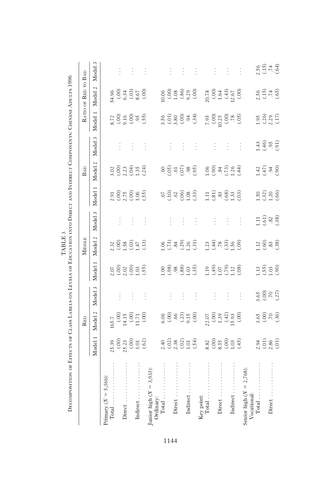|                                                                                                                                                                                                                                                                                                                                                                                                                                                                                                             |                                                                          | <b>RED</b>                                              |                                  |                                              | MIDDLE                                         |                                                        |                                                      | BAD                                                 |                            |                                                                                                  | RATIO OF RED TO BAD                                      |                             |
|-------------------------------------------------------------------------------------------------------------------------------------------------------------------------------------------------------------------------------------------------------------------------------------------------------------------------------------------------------------------------------------------------------------------------------------------------------------------------------------------------------------|--------------------------------------------------------------------------|---------------------------------------------------------|----------------------------------|----------------------------------------------|------------------------------------------------|--------------------------------------------------------|------------------------------------------------------|-----------------------------------------------------|----------------------------|--------------------------------------------------------------------------------------------------|----------------------------------------------------------|-----------------------------|
|                                                                                                                                                                                                                                                                                                                                                                                                                                                                                                             | Model 1                                                                  | Model 2                                                 | Model 3                          | Model 1                                      | Model 2                                        | $\tilde{\xi}$<br>Model                                 | Model 1                                              | Model 2                                             | Model 3                    | Model 1                                                                                          | Model 2                                                  | Model                       |
| 5,366)<br>$\label{eq:1} \begin{array}{c} \vspace{0.05in} \quad \text{[} \quad \text{[} \quad \text{[} \quad \text{[} \quad \text{[} \quad \text{[} \quad \text{[} \quad \text{[} \quad \text{[} \quad \text{[} \quad \text{[} \quad \text{[} \quad \text{[} \quad \text{[} \quad \text{[} \quad \text{[} \quad \text{[} \quad \text{[} \quad \text{[} \quad \text{[} \quad \text{[} \quad \text{[} \quad \text{[} \quad \text{[} \quad \text{[} \quad \text{[} \quad \text{[} \quad \text{[}$<br>Primary (N |                                                                          |                                                         |                                  |                                              |                                                |                                                        |                                                      |                                                     |                            |                                                                                                  |                                                          |                             |
| Total                                                                                                                                                                                                                                                                                                                                                                                                                                                                                                       |                                                                          |                                                         |                                  |                                              |                                                |                                                        |                                                      |                                                     |                            |                                                                                                  |                                                          |                             |
|                                                                                                                                                                                                                                                                                                                                                                                                                                                                                                             |                                                                          |                                                         |                                  |                                              |                                                | $\vdots$                                               |                                                      |                                                     |                            |                                                                                                  |                                                          | $\frac{1}{2}$               |
| Direct                                                                                                                                                                                                                                                                                                                                                                                                                                                                                                      |                                                                          |                                                         |                                  |                                              |                                                |                                                        |                                                      |                                                     |                            |                                                                                                  |                                                          |                             |
|                                                                                                                                                                                                                                                                                                                                                                                                                                                                                                             | $25.39$<br>$(.00)$<br>$25.23$<br>$(.00)$<br>$(.01)$<br>$(.62)$           | $[65.7\n(000)\n14.15\n(000)\n11.71\n(000)$              | $\mathbb{R}^2 \times \mathbb{R}$ | $2.50$<br>$2.30$<br>$1.50$<br>$1.5$<br>$1.5$ | $2.32$<br>$(0.98)$<br>$(0.31)$<br>$(1.3)$      | $\vdots$                                               | $2.91$<br>$(0.00)$<br>$2.75$<br>$(0.00)$<br>$(0.55)$ | $3.02$<br>$(0.03, 0.4)$<br>$(1.3, 4)$<br>$(1.3, 4)$ | $\vdots$                   | $\begin{array}{c}\n 8.72 \\  \hline\n 6.916 \\  \hline\n 0.916 \\  \hline\n 0.936\n \end{array}$ | $(4.96$<br>$(6.34)$<br>$(6.36)$<br>$(6.36)$              | $-1$                        |
| Indirect                                                                                                                                                                                                                                                                                                                                                                                                                                                                                                    |                                                                          |                                                         |                                  |                                              |                                                |                                                        |                                                      |                                                     |                            |                                                                                                  |                                                          |                             |
|                                                                                                                                                                                                                                                                                                                                                                                                                                                                                                             |                                                                          |                                                         |                                  |                                              |                                                | $\vdots$                                               |                                                      |                                                     | $\vdots$                   |                                                                                                  |                                                          |                             |
| 3,933)<br>$\overline{\mathbf{u}}$<br>Junior high (N                                                                                                                                                                                                                                                                                                                                                                                                                                                         |                                                                          |                                                         |                                  |                                              |                                                |                                                        |                                                      |                                                     |                            |                                                                                                  |                                                          |                             |
| Ordinary                                                                                                                                                                                                                                                                                                                                                                                                                                                                                                    |                                                                          |                                                         |                                  |                                              |                                                |                                                        |                                                      |                                                     |                            |                                                                                                  |                                                          |                             |
| Total                                                                                                                                                                                                                                                                                                                                                                                                                                                                                                       |                                                                          |                                                         |                                  |                                              |                                                |                                                        |                                                      |                                                     |                            |                                                                                                  |                                                          |                             |
|                                                                                                                                                                                                                                                                                                                                                                                                                                                                                                             |                                                                          |                                                         | $\vdots$                         |                                              |                                                | $\vdots$                                               |                                                      |                                                     | ÷                          |                                                                                                  |                                                          | $\vdots$                    |
| Direct                                                                                                                                                                                                                                                                                                                                                                                                                                                                                                      |                                                                          |                                                         |                                  |                                              |                                                |                                                        |                                                      |                                                     |                            |                                                                                                  |                                                          |                             |
|                                                                                                                                                                                                                                                                                                                                                                                                                                                                                                             |                                                                          |                                                         | $\frac{1}{2}$                    |                                              |                                                | $\vdots$                                               |                                                      |                                                     | $\frac{1}{2}$              |                                                                                                  |                                                          |                             |
| Indirect                                                                                                                                                                                                                                                                                                                                                                                                                                                                                                    | $2.40$<br>$(0.23)$<br>$(0.02)$<br>$(0.01)$<br>$(0.54)$                   | 6.66833.6                                               |                                  | 8.88837.                                     | $106$<br>$(73)$<br>$(30)$<br>$(31)$<br>$(31)$  |                                                        | 57999933                                             | 8.67586                                             |                            | $3,50$<br>$3,80$<br>$3,30$<br>$3,4$<br>$3,30$                                                    | $0.06$<br>$0.06$<br>$0.06$<br>$0.06$<br>$0.06$<br>$0.00$ | $\frac{1}{2}$ $\frac{1}{2}$ |
|                                                                                                                                                                                                                                                                                                                                                                                                                                                                                                             |                                                                          |                                                         | $\frac{1}{2}$                    |                                              |                                                | $\vdots$                                               |                                                      |                                                     | $\frac{1}{2}$              |                                                                                                  |                                                          |                             |
|                                                                                                                                                                                                                                                                                                                                                                                                                                                                                                             |                                                                          |                                                         |                                  |                                              |                                                |                                                        |                                                      |                                                     |                            |                                                                                                  |                                                          |                             |
| Key point: $\operatorname{Total}$                                                                                                                                                                                                                                                                                                                                                                                                                                                                           |                                                                          |                                                         |                                  |                                              |                                                |                                                        | Ę                                                    | 06                                                  |                            |                                                                                                  |                                                          |                             |
|                                                                                                                                                                                                                                                                                                                                                                                                                                                                                                             | $\begin{array}{c}\n 82 \\  300 \\  -300 \\  -300 \\  -300\n \end{array}$ | $2.07$<br>$(-0.00)$<br>$(-42)$<br>$(-5.9)$<br>$(-5.00)$ | $\vdots$                         | $19902020$<br>$1950120$                      |                                                | $\vdots$                                               | $(3, 3, 3)$<br>$(3, 3, 3)$<br>$(3, 3)$               | 6.8834                                              | ÷                          | $7.95$<br>$(00, 25)$<br>$(00, 25)$<br>$(00, 25)$                                                 | $0.78$<br>$0.00$<br>$1.64$<br>$0.43$<br>$0.00$<br>$0.00$ |                             |
| Direct                                                                                                                                                                                                                                                                                                                                                                                                                                                                                                      |                                                                          |                                                         |                                  |                                              |                                                |                                                        |                                                      |                                                     |                            |                                                                                                  |                                                          |                             |
|                                                                                                                                                                                                                                                                                                                                                                                                                                                                                                             |                                                                          |                                                         | $\frac{1}{2}$                    |                                              |                                                | $\vdots$                                               |                                                      |                                                     | $\frac{1}{2}$              |                                                                                                  |                                                          | <b>FOR</b>                  |
| Indirect                                                                                                                                                                                                                                                                                                                                                                                                                                                                                                    |                                                                          |                                                         |                                  |                                              |                                                |                                                        |                                                      |                                                     |                            |                                                                                                  |                                                          |                             |
|                                                                                                                                                                                                                                                                                                                                                                                                                                                                                                             |                                                                          |                                                         | $\vdots$                         |                                              |                                                | $\vdots$                                               |                                                      |                                                     | $\vdots$                   |                                                                                                  |                                                          | $\vdots$                    |
| 2,768):<br>$\parallel$<br>Senior high (N                                                                                                                                                                                                                                                                                                                                                                                                                                                                    |                                                                          |                                                         |                                  |                                              |                                                |                                                        |                                                      |                                                     |                            |                                                                                                  |                                                          |                             |
| Vocational:                                                                                                                                                                                                                                                                                                                                                                                                                                                                                                 |                                                                          |                                                         |                                  |                                              |                                                |                                                        |                                                      |                                                     |                            |                                                                                                  |                                                          |                             |
| Total                                                                                                                                                                                                                                                                                                                                                                                                                                                                                                       | $2.34$<br>$(01)$<br>$(01)$<br>$(01)$                                     | $3.65$<br>$(0.00)$<br>$(0.00)$                          |                                  |                                              |                                                |                                                        |                                                      |                                                     |                            |                                                                                                  | $2.56$<br>$(15)$<br>$(65)$<br>$(65)$                     | $2.56$<br>$(15)$<br>$(34)$  |
|                                                                                                                                                                                                                                                                                                                                                                                                                                                                                                             |                                                                          |                                                         | $\frac{365}{200}$                | $13.638$<br>$0.508$                          | $\frac{12}{100}$ $\frac{2}{30}$ $\frac{3}{30}$ | $11\overline{0}$ $3\overline{0}$<br>$(38\overline{0})$ | $\frac{150}{130}$<br>$\frac{320}{100}$               | $\frac{47}{14}$ $\frac{37}{14}$                     | $(46)$<br>$(46)$<br>$(51)$ | $\frac{(1.95)}{(1.29)}$                                                                          |                                                          |                             |
| Direct                                                                                                                                                                                                                                                                                                                                                                                                                                                                                                      |                                                                          |                                                         |                                  |                                              |                                                |                                                        |                                                      |                                                     |                            |                                                                                                  |                                                          |                             |
|                                                                                                                                                                                                                                                                                                                                                                                                                                                                                                             |                                                                          |                                                         |                                  |                                              |                                                |                                                        |                                                      |                                                     |                            |                                                                                                  |                                                          |                             |

TABLE 3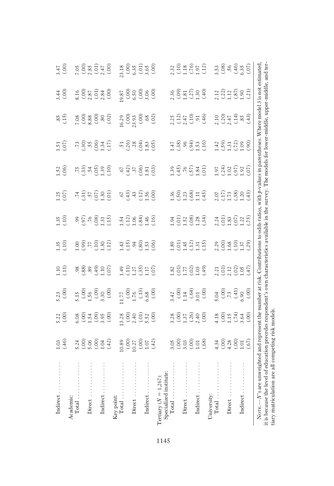| Indirect                                                                                                                                                                                                                                                                                                                   |                                                                                         |                                                                                 |                                                               |                                                                        |                                                                                                                        |                                                          |                                                                                                                                                                                                                                                                                                                                                                                                            |                                                |                                                |                                                          |                                                                                        |                                                    |
|----------------------------------------------------------------------------------------------------------------------------------------------------------------------------------------------------------------------------------------------------------------------------------------------------------------------------|-----------------------------------------------------------------------------------------|---------------------------------------------------------------------------------|---------------------------------------------------------------|------------------------------------------------------------------------|------------------------------------------------------------------------------------------------------------------------|----------------------------------------------------------|------------------------------------------------------------------------------------------------------------------------------------------------------------------------------------------------------------------------------------------------------------------------------------------------------------------------------------------------------------------------------------------------------------|------------------------------------------------|------------------------------------------------|----------------------------------------------------------|----------------------------------------------------------------------------------------|----------------------------------------------------|
|                                                                                                                                                                                                                                                                                                                            | $\frac{03}{0.46}$                                                                       | $5.22$<br>(.00)                                                                 | $5.23$ (.00)                                                  | $\frac{10}{11}$                                                        | $\frac{1.35}{(.10)}$                                                                                                   | $\frac{35}{10}$                                          | $35$<br>$(5, 0, 0)$                                                                                                                                                                                                                                                                                                                                                                                        | $\frac{52}{06}$                                | $\frac{51}{07}$                                | $\frac{85}{15}$                                          | $3.44$<br>(.00)                                                                        | $3.47$<br>(.00)                                    |
| Academic:                                                                                                                                                                                                                                                                                                                  |                                                                                         |                                                                                 |                                                               |                                                                        |                                                                                                                        |                                                          |                                                                                                                                                                                                                                                                                                                                                                                                            |                                                |                                                |                                                          |                                                                                        |                                                    |
| Total                                                                                                                                                                                                                                                                                                                      |                                                                                         |                                                                                 |                                                               |                                                                        |                                                                                                                        |                                                          |                                                                                                                                                                                                                                                                                                                                                                                                            |                                                |                                                |                                                          |                                                                                        |                                                    |
|                                                                                                                                                                                                                                                                                                                            |                                                                                         |                                                                                 |                                                               |                                                                        |                                                                                                                        |                                                          |                                                                                                                                                                                                                                                                                                                                                                                                            |                                                |                                                |                                                          |                                                                                        |                                                    |
| Direct                                                                                                                                                                                                                                                                                                                     |                                                                                         |                                                                                 |                                                               |                                                                        |                                                                                                                        |                                                          |                                                                                                                                                                                                                                                                                                                                                                                                            |                                                |                                                |                                                          |                                                                                        |                                                    |
|                                                                                                                                                                                                                                                                                                                            | $\begin{array}{c}\n 5.24 \\  1.00 \\  5.06 \\  1.42 \\  \end{array}$                    | $5.8$<br>$0.54$<br>$0.55$<br>$0.5$<br>$0.5$<br>$0.5$<br>$0.5$                   | $1.5$<br>$(00)$<br>$(00)$<br>$(00)$<br>$(00)$<br>$(00)$       | 8.8999105                                                              | 0.99770901                                                                                                             | $9.58$<br>$9.58$<br>$9.31$<br>$1.5$                      | $(3, 5, 6)$<br>$(3, 5, 6)$<br>$(3, 5, 6)$                                                                                                                                                                                                                                                                                                                                                                  | <u>្ដដំ ដូចទី ដូ</u>                           | 128.88845                                      | 7.880880                                                 | $\begin{array}{c}\n 1.6 \\  0.6 \\  2.8 \\  1.3 \\  2.3 \\  2.3 \\  3.6\n \end{array}$ |                                                    |
| Indirect                                                                                                                                                                                                                                                                                                                   |                                                                                         |                                                                                 |                                                               |                                                                        |                                                                                                                        |                                                          |                                                                                                                                                                                                                                                                                                                                                                                                            |                                                |                                                |                                                          |                                                                                        |                                                    |
|                                                                                                                                                                                                                                                                                                                            |                                                                                         |                                                                                 |                                                               |                                                                        |                                                                                                                        |                                                          |                                                                                                                                                                                                                                                                                                                                                                                                            |                                                |                                                |                                                          |                                                                                        |                                                    |
| Xey point:                                                                                                                                                                                                                                                                                                                 |                                                                                         |                                                                                 |                                                               |                                                                        |                                                                                                                        |                                                          |                                                                                                                                                                                                                                                                                                                                                                                                            |                                                |                                                |                                                          |                                                                                        |                                                    |
| Total                                                                                                                                                                                                                                                                                                                      |                                                                                         |                                                                                 |                                                               |                                                                        |                                                                                                                        |                                                          |                                                                                                                                                                                                                                                                                                                                                                                                            |                                                |                                                |                                                          |                                                                                        |                                                    |
|                                                                                                                                                                                                                                                                                                                            |                                                                                         |                                                                                 |                                                               |                                                                        |                                                                                                                        |                                                          |                                                                                                                                                                                                                                                                                                                                                                                                            |                                                |                                                |                                                          |                                                                                        |                                                    |
| Direct                                                                                                                                                                                                                                                                                                                     |                                                                                         |                                                                                 |                                                               |                                                                        |                                                                                                                        |                                                          |                                                                                                                                                                                                                                                                                                                                                                                                            |                                                |                                                |                                                          |                                                                                        |                                                    |
|                                                                                                                                                                                                                                                                                                                            | $\begin{array}{c} (0.89) \\ (0.00) \\ (0.27) \\ (0.01) \\ (1.07) \\ (1.42) \end{array}$ | $3.28$<br>$(0.00)$<br>$(1.00)$<br>$(0.00)$<br>$(0.00)$                          | $1.77$<br>$(00)$<br>$1.76$<br>$(0.3)$<br>$(0.68)$<br>$(0.00)$ | $1.35$<br>$1.25$<br>$1.35$<br>$1.55$<br>$1.5$<br>$1.5$                 | <u> 4 5 4 8 5 8</u>                                                                                                    | $1308740$<br>$1368740$                                   | $5\overline{3}$<br>$3\overline{4}$<br>$\overline{2}$<br>$\overline{1}$<br>$\overline{5}$<br>$\overline{6}$<br>$\overline{6}$<br>$\overline{6}$<br>$\overline{6}$<br>$\overline{6}$<br>$\overline{6}$<br>$\overline{6}$<br>$\overline{6}$<br><br>$\overline{6}$<br><br><br><br><br><br><br><br><br><br><br><br><br><br><br><br><br><br><br><br><br><br><br><br><br><br><br><br><br><br><br><br><br><br><br> | 5.35.99                                        | 588588                                         | $(6.29)$<br>$(0.00)$<br>$(0.00)$<br>$(0.00)$<br>$(0.02)$ | $0.87$<br>$0.50$<br>$0.50$<br>$0.50$<br>$0.50$                                         | $3.18$<br>$(.00)$<br>$(.01)$<br>$(.00)$<br>$(.00)$ |
| Indirect                                                                                                                                                                                                                                                                                                                   |                                                                                         |                                                                                 |                                                               |                                                                        |                                                                                                                        |                                                          |                                                                                                                                                                                                                                                                                                                                                                                                            |                                                |                                                |                                                          |                                                                                        |                                                    |
|                                                                                                                                                                                                                                                                                                                            |                                                                                         |                                                                                 |                                                               |                                                                        |                                                                                                                        |                                                          |                                                                                                                                                                                                                                                                                                                                                                                                            |                                                |                                                |                                                          |                                                                                        |                                                    |
| Tertiary $(N = 1,267)$ :                                                                                                                                                                                                                                                                                                   |                                                                                         |                                                                                 |                                                               |                                                                        |                                                                                                                        |                                                          |                                                                                                                                                                                                                                                                                                                                                                                                            |                                                |                                                |                                                          |                                                                                        |                                                    |
| Specialized institute                                                                                                                                                                                                                                                                                                      |                                                                                         |                                                                                 |                                                               |                                                                        |                                                                                                                        |                                                          |                                                                                                                                                                                                                                                                                                                                                                                                            |                                                |                                                |                                                          |                                                                                        |                                                    |
| Total                                                                                                                                                                                                                                                                                                                      |                                                                                         |                                                                                 |                                                               |                                                                        |                                                                                                                        |                                                          |                                                                                                                                                                                                                                                                                                                                                                                                            |                                                |                                                |                                                          |                                                                                        |                                                    |
|                                                                                                                                                                                                                                                                                                                            |                                                                                         |                                                                                 |                                                               | $\begin{array}{c} 82 \\ 30 \\ -10 \\ -10 \\ -10 \\ \hline \end{array}$ |                                                                                                                        | $1.5288$<br>$1.5288$<br>$1.34$                           |                                                                                                                                                                                                                                                                                                                                                                                                            | 39.5533                                        |                                                |                                                          | $2.36$<br>$(0.9)$<br>$(1.3)$<br>$(1.3)$<br>$(0.4)$                                     |                                                    |
| Direct                                                                                                                                                                                                                                                                                                                     |                                                                                         |                                                                                 |                                                               |                                                                        |                                                                                                                        |                                                          |                                                                                                                                                                                                                                                                                                                                                                                                            |                                                |                                                |                                                          |                                                                                        |                                                    |
|                                                                                                                                                                                                                                                                                                                            |                                                                                         |                                                                                 |                                                               |                                                                        |                                                                                                                        |                                                          |                                                                                                                                                                                                                                                                                                                                                                                                            |                                                |                                                |                                                          |                                                                                        |                                                    |
| Indirect                                                                                                                                                                                                                                                                                                                   |                                                                                         |                                                                                 |                                                               |                                                                        |                                                                                                                        |                                                          |                                                                                                                                                                                                                                                                                                                                                                                                            |                                                |                                                |                                                          |                                                                                        |                                                    |
|                                                                                                                                                                                                                                                                                                                            | $\begin{array}{c} 3.05 \\ (0.00) \\ 3.03 \\ (0.01) \\ (0.68) \\ (0.68) \end{array}$     | $\begin{array}{c} 3.28 \\ (.00) \\ 1.37 \\ (.26) \\ (.00) \\ (.00) \end{array}$ | $3.42$<br>(.00)<br>1.14<br>(.64)<br>3.01<br>(.00)             |                                                                        | $\begin{array}{c} 1.89 \\[-4pt] 0.11 \\[-4pt] 1.45 \\[-4pt] 1.31 \\[-4pt] 1.31 \\[-4pt] 1.31 \\[-4pt] 1.5 \end{array}$ |                                                          | $1.36$<br>$(50)$<br>$(53)$<br>$(68)$<br>$(14)$                                                                                                                                                                                                                                                                                                                                                             |                                                | 1.3899900                                      | $2.25$<br>$(12)$<br>$2.47$<br>$(10)$<br>$(0.46)$         |                                                                                        | $2.32$<br>$(198)$<br>$(195)$<br>$(12)$             |
| Jniversity:                                                                                                                                                                                                                                                                                                                |                                                                                         |                                                                                 |                                                               |                                                                        |                                                                                                                        |                                                          |                                                                                                                                                                                                                                                                                                                                                                                                            |                                                |                                                |                                                          |                                                                                        |                                                    |
| Total.                                                                                                                                                                                                                                                                                                                     |                                                                                         |                                                                                 |                                                               |                                                                        |                                                                                                                        |                                                          |                                                                                                                                                                                                                                                                                                                                                                                                            |                                                |                                                |                                                          |                                                                                        |                                                    |
|                                                                                                                                                                                                                                                                                                                            | $4.34$<br>$(.00)$<br>$+28$<br>$(.00)$<br>$(.07)$                                        | $(1.3)$<br>$(0.15)$<br>$(74)$<br>$(0.00)$                                       | $\frac{36}{100}$ $\frac{25}{100}$ $\frac{25}{100}$            | $2.21$<br>$(0.12)$<br>$(0.05)$<br>$(0.47)$                             | $2.39$<br>$2.59$<br>$2.59$<br>$2.59$                                                                                   | $2.24$<br>$(01)$<br>$(05)$<br>$(07)$<br>$(07)$<br>$(07)$ | $2.07$<br>$(17)$<br>$(38)$<br>$(43)$<br>$(43)$                                                                                                                                                                                                                                                                                                                                                             | $1.37$<br>$1.32$<br>$1.52$<br>$1.52$<br>$1.57$ | $1.40$<br>$1.50$<br>$1.20$<br>$1.50$<br>$1.50$ | $2.30$<br>$(20)$<br>$(3.47)$<br>$(3.47)$<br>$(3.3)$      | $2.12$<br>$(2.2)$<br>$(5.5)$<br>$(5.5)$<br>$(1.3)$                                     | 3.3899900000000                                    |
| Direct                                                                                                                                                                                                                                                                                                                     |                                                                                         |                                                                                 |                                                               |                                                                        |                                                                                                                        |                                                          |                                                                                                                                                                                                                                                                                                                                                                                                            |                                                |                                                |                                                          |                                                                                        |                                                    |
|                                                                                                                                                                                                                                                                                                                            |                                                                                         |                                                                                 |                                                               |                                                                        |                                                                                                                        |                                                          |                                                                                                                                                                                                                                                                                                                                                                                                            |                                                |                                                |                                                          |                                                                                        |                                                    |
| Indirect                                                                                                                                                                                                                                                                                                                   |                                                                                         |                                                                                 |                                                               |                                                                        |                                                                                                                        |                                                          |                                                                                                                                                                                                                                                                                                                                                                                                            |                                                |                                                |                                                          |                                                                                        |                                                    |
|                                                                                                                                                                                                                                                                                                                            |                                                                                         |                                                                                 |                                                               |                                                                        |                                                                                                                        |                                                          |                                                                                                                                                                                                                                                                                                                                                                                                            |                                                |                                                |                                                          |                                                                                        |                                                    |
| Norg.—N's are unweighted and represent the number at risk. Contributions to odds ratios, with $\rho$ -values in parentheses. Where model 3 is not estimated<br>it is because the level of education precedes respondent's own characteristics available in the survey. The models for lower-middle, upper-middle, and ter- |                                                                                         |                                                                                 |                                                               |                                                                        |                                                                                                                        |                                                          |                                                                                                                                                                                                                                                                                                                                                                                                            |                                                |                                                |                                                          |                                                                                        |                                                    |
| tiary matriculation are all competing risk models                                                                                                                                                                                                                                                                          |                                                                                         |                                                                                 |                                                               |                                                                        |                                                                                                                        |                                                          |                                                                                                                                                                                                                                                                                                                                                                                                            |                                                |                                                |                                                          |                                                                                        |                                                    |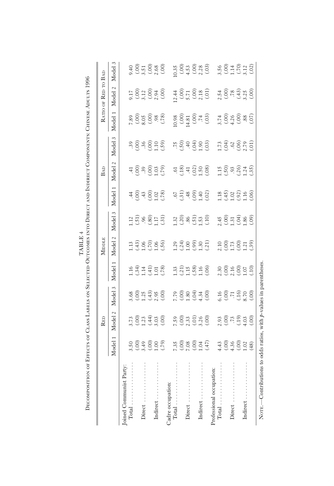| $3.56$<br>$(.00)$<br>$(.70)$<br>$(.02)$<br>$\begin{array}{c} (0.35 \\ (0.00) \\ (4.53 \\ (0.00) \\ (0.33) \\ (0.3) \end{array}$<br>Model<br>Model 2<br>$\begin{array}{c} 17 \\ 100 \\ 312 \\ 224 \\ 235 \\ \end{array}$<br>$\begin{array}{c} (.00) \\ 5.71 \\ (.00) \\ (.01) \end{array}$<br>$2.54$<br>$(0.73, 0.00)$<br>$(0.73, 0.00)$<br>2.44<br>Model 1<br>$7.89$<br>$(0.058)$<br>$(0.058)$<br>$(0.087)$<br>$\begin{array}{c} (6.00) \\ (6.00) \\ (7.00) \\ (8.00) \\ (9.00) \\ (1.00) \\ (1.00) \\ (1.00) \\ (1.00) \\ (1.00) \\ (1.00) \\ (1.00) \\ (1.00) \\ (1.00) \\ (1.00) \\ (1.00) \\ (1.00) \\ (1.00) \\ (1.00) \\ (1.00) \\ (1.00) \\ (1.00) \\ (1.00) \\ (1.00) \\ (1.00) \\ (1.00) \\ (1.00) \\ (1.00) \\ (1.00) \\ (1.00) \\ (1.$<br>$3.74$<br>$(0.0088)$<br>$(0.008)$<br>Model 3<br>39.89999<br>$1.73$<br>$(.04)$<br>$(.06)$<br>$(.01)$<br>$59.69$<br>$59.69$<br>$59.69$<br>Model 2<br>$\begin{array}{c}\n 4.9 \\  - 3.9 \\  - 1.9\n \end{array}$<br>$5.40$<br>$5.40$<br>$5.50$<br>$5.60$<br>$5.60$<br>$150, 300, 240, 300$<br>$130, 300, 250$<br>Model 1<br>$4.6940228$<br>$4.69328$<br>$57.49$<br>$-3.49$<br>$-1.49$<br>(02)<br>$1.45$<br>$1.32$<br>$1.66$<br>$1.66$<br>Model 3<br>$1.32$<br>$(20)$<br>$(51)$<br>$(10)$<br>$(10)$<br>$2, 45$<br>$(3, 3, 4)$<br>$(3, 3, 6)$<br>$(3, 6)$<br>$(3, 6)$<br>Model 2<br>$13,38$<br>$13,58$<br>$15,58$<br>$15,58$<br>$129$<br>$124$ 0.9 0.9 1.1<br>$2.10$<br>$(0.00)$<br>$(1.73)$<br>$(1.21)$<br>$(3.9)$<br>Model 1<br>$1.16$<br>$(.34)$<br>$1.41$<br>$(.78)$<br>$1.01$<br>$(.78)$<br>$\begin{array}{c} 1.33 \\ 1.15 \\ 1.16 \\ 1.16 \end{array}$<br>$2.30$<br>$(0.00)$<br>$2.16$<br>$(0.07)$<br>$(0.10)$<br>(96)<br>Model 3<br>$7.30$<br>$0.80$<br>$0.34$<br>$0.43$<br>$(00, 0.5)$<br>$(0, 1, 7)$<br>$(0, 1, 0)$<br>$(0, 1, 0)$<br>$3.68$<br>$(.00)$<br>$(.43)$<br>$(.00)$<br>(00)<br>Model 2<br>(00)<br>$2.33$<br>$(0.53)$<br>$(0.53)$<br>$(0.53)$<br>3.73<br>(.00)<br>1.23<br>3.03<br>(00)<br>7.59<br>Model 1<br>$3.50$<br>$(.00)$<br>$(.00)$<br>$(.79)$<br>$7.35$<br>$7.00$<br>$7.00$<br>$1.04$<br>$(1.36$<br>$(1.36)$<br>$(1.02)$<br>$(1.03)$<br>(47)<br>Joined Communist Party:<br>Professional occupation<br>Cadre occupation:<br>Indirect<br>Indirect.<br>Indirect<br>Direct<br>Direct<br>Direct<br>$\mbox{Total}$ .<br>Total<br>Total |  | <b>RED</b> |  | MIDDLE |  | BAD |  | RATIO OF RED TO BAD |  |
|-----------------------------------------------------------------------------------------------------------------------------------------------------------------------------------------------------------------------------------------------------------------------------------------------------------------------------------------------------------------------------------------------------------------------------------------------------------------------------------------------------------------------------------------------------------------------------------------------------------------------------------------------------------------------------------------------------------------------------------------------------------------------------------------------------------------------------------------------------------------------------------------------------------------------------------------------------------------------------------------------------------------------------------------------------------------------------------------------------------------------------------------------------------------------------------------------------------------------------------------------------------------------------------------------------------------------------------------------------------------------------------------------------------------------------------------------------------------------------------------------------------------------------------------------------------------------------------------------------------------------------------------------------------------------------------------------------------------------------------------------------------------------------------------------------------------------------------------------------------------------------------------------------------------------------------------------------------------------------------------------------------------------------------------------------------------------------------------------------------------------------------------------------------------------------------------------------------------------------------------------------------------------------------------------------------|--|------------|--|--------|--|-----|--|---------------------|--|
|                                                                                                                                                                                                                                                                                                                                                                                                                                                                                                                                                                                                                                                                                                                                                                                                                                                                                                                                                                                                                                                                                                                                                                                                                                                                                                                                                                                                                                                                                                                                                                                                                                                                                                                                                                                                                                                                                                                                                                                                                                                                                                                                                                                                                                                                                                           |  |            |  |        |  |     |  |                     |  |
|                                                                                                                                                                                                                                                                                                                                                                                                                                                                                                                                                                                                                                                                                                                                                                                                                                                                                                                                                                                                                                                                                                                                                                                                                                                                                                                                                                                                                                                                                                                                                                                                                                                                                                                                                                                                                                                                                                                                                                                                                                                                                                                                                                                                                                                                                                           |  |            |  |        |  |     |  |                     |  |
|                                                                                                                                                                                                                                                                                                                                                                                                                                                                                                                                                                                                                                                                                                                                                                                                                                                                                                                                                                                                                                                                                                                                                                                                                                                                                                                                                                                                                                                                                                                                                                                                                                                                                                                                                                                                                                                                                                                                                                                                                                                                                                                                                                                                                                                                                                           |  |            |  |        |  |     |  |                     |  |
|                                                                                                                                                                                                                                                                                                                                                                                                                                                                                                                                                                                                                                                                                                                                                                                                                                                                                                                                                                                                                                                                                                                                                                                                                                                                                                                                                                                                                                                                                                                                                                                                                                                                                                                                                                                                                                                                                                                                                                                                                                                                                                                                                                                                                                                                                                           |  |            |  |        |  |     |  |                     |  |
|                                                                                                                                                                                                                                                                                                                                                                                                                                                                                                                                                                                                                                                                                                                                                                                                                                                                                                                                                                                                                                                                                                                                                                                                                                                                                                                                                                                                                                                                                                                                                                                                                                                                                                                                                                                                                                                                                                                                                                                                                                                                                                                                                                                                                                                                                                           |  |            |  |        |  |     |  |                     |  |
|                                                                                                                                                                                                                                                                                                                                                                                                                                                                                                                                                                                                                                                                                                                                                                                                                                                                                                                                                                                                                                                                                                                                                                                                                                                                                                                                                                                                                                                                                                                                                                                                                                                                                                                                                                                                                                                                                                                                                                                                                                                                                                                                                                                                                                                                                                           |  |            |  |        |  |     |  |                     |  |
|                                                                                                                                                                                                                                                                                                                                                                                                                                                                                                                                                                                                                                                                                                                                                                                                                                                                                                                                                                                                                                                                                                                                                                                                                                                                                                                                                                                                                                                                                                                                                                                                                                                                                                                                                                                                                                                                                                                                                                                                                                                                                                                                                                                                                                                                                                           |  |            |  |        |  |     |  |                     |  |
|                                                                                                                                                                                                                                                                                                                                                                                                                                                                                                                                                                                                                                                                                                                                                                                                                                                                                                                                                                                                                                                                                                                                                                                                                                                                                                                                                                                                                                                                                                                                                                                                                                                                                                                                                                                                                                                                                                                                                                                                                                                                                                                                                                                                                                                                                                           |  |            |  |        |  |     |  |                     |  |
|                                                                                                                                                                                                                                                                                                                                                                                                                                                                                                                                                                                                                                                                                                                                                                                                                                                                                                                                                                                                                                                                                                                                                                                                                                                                                                                                                                                                                                                                                                                                                                                                                                                                                                                                                                                                                                                                                                                                                                                                                                                                                                                                                                                                                                                                                                           |  |            |  |        |  |     |  |                     |  |
|                                                                                                                                                                                                                                                                                                                                                                                                                                                                                                                                                                                                                                                                                                                                                                                                                                                                                                                                                                                                                                                                                                                                                                                                                                                                                                                                                                                                                                                                                                                                                                                                                                                                                                                                                                                                                                                                                                                                                                                                                                                                                                                                                                                                                                                                                                           |  |            |  |        |  |     |  |                     |  |
|                                                                                                                                                                                                                                                                                                                                                                                                                                                                                                                                                                                                                                                                                                                                                                                                                                                                                                                                                                                                                                                                                                                                                                                                                                                                                                                                                                                                                                                                                                                                                                                                                                                                                                                                                                                                                                                                                                                                                                                                                                                                                                                                                                                                                                                                                                           |  |            |  |        |  |     |  |                     |  |
|                                                                                                                                                                                                                                                                                                                                                                                                                                                                                                                                                                                                                                                                                                                                                                                                                                                                                                                                                                                                                                                                                                                                                                                                                                                                                                                                                                                                                                                                                                                                                                                                                                                                                                                                                                                                                                                                                                                                                                                                                                                                                                                                                                                                                                                                                                           |  |            |  |        |  |     |  |                     |  |
|                                                                                                                                                                                                                                                                                                                                                                                                                                                                                                                                                                                                                                                                                                                                                                                                                                                                                                                                                                                                                                                                                                                                                                                                                                                                                                                                                                                                                                                                                                                                                                                                                                                                                                                                                                                                                                                                                                                                                                                                                                                                                                                                                                                                                                                                                                           |  |            |  |        |  |     |  |                     |  |
|                                                                                                                                                                                                                                                                                                                                                                                                                                                                                                                                                                                                                                                                                                                                                                                                                                                                                                                                                                                                                                                                                                                                                                                                                                                                                                                                                                                                                                                                                                                                                                                                                                                                                                                                                                                                                                                                                                                                                                                                                                                                                                                                                                                                                                                                                                           |  |            |  |        |  |     |  |                     |  |
|                                                                                                                                                                                                                                                                                                                                                                                                                                                                                                                                                                                                                                                                                                                                                                                                                                                                                                                                                                                                                                                                                                                                                                                                                                                                                                                                                                                                                                                                                                                                                                                                                                                                                                                                                                                                                                                                                                                                                                                                                                                                                                                                                                                                                                                                                                           |  |            |  |        |  |     |  |                     |  |
|                                                                                                                                                                                                                                                                                                                                                                                                                                                                                                                                                                                                                                                                                                                                                                                                                                                                                                                                                                                                                                                                                                                                                                                                                                                                                                                                                                                                                                                                                                                                                                                                                                                                                                                                                                                                                                                                                                                                                                                                                                                                                                                                                                                                                                                                                                           |  |            |  |        |  |     |  |                     |  |
|                                                                                                                                                                                                                                                                                                                                                                                                                                                                                                                                                                                                                                                                                                                                                                                                                                                                                                                                                                                                                                                                                                                                                                                                                                                                                                                                                                                                                                                                                                                                                                                                                                                                                                                                                                                                                                                                                                                                                                                                                                                                                                                                                                                                                                                                                                           |  |            |  |        |  |     |  |                     |  |
|                                                                                                                                                                                                                                                                                                                                                                                                                                                                                                                                                                                                                                                                                                                                                                                                                                                                                                                                                                                                                                                                                                                                                                                                                                                                                                                                                                                                                                                                                                                                                                                                                                                                                                                                                                                                                                                                                                                                                                                                                                                                                                                                                                                                                                                                                                           |  |            |  |        |  |     |  |                     |  |
|                                                                                                                                                                                                                                                                                                                                                                                                                                                                                                                                                                                                                                                                                                                                                                                                                                                                                                                                                                                                                                                                                                                                                                                                                                                                                                                                                                                                                                                                                                                                                                                                                                                                                                                                                                                                                                                                                                                                                                                                                                                                                                                                                                                                                                                                                                           |  |            |  |        |  |     |  |                     |  |
|                                                                                                                                                                                                                                                                                                                                                                                                                                                                                                                                                                                                                                                                                                                                                                                                                                                                                                                                                                                                                                                                                                                                                                                                                                                                                                                                                                                                                                                                                                                                                                                                                                                                                                                                                                                                                                                                                                                                                                                                                                                                                                                                                                                                                                                                                                           |  |            |  |        |  |     |  |                     |  |
|                                                                                                                                                                                                                                                                                                                                                                                                                                                                                                                                                                                                                                                                                                                                                                                                                                                                                                                                                                                                                                                                                                                                                                                                                                                                                                                                                                                                                                                                                                                                                                                                                                                                                                                                                                                                                                                                                                                                                                                                                                                                                                                                                                                                                                                                                                           |  |            |  |        |  |     |  |                     |  |
|                                                                                                                                                                                                                                                                                                                                                                                                                                                                                                                                                                                                                                                                                                                                                                                                                                                                                                                                                                                                                                                                                                                                                                                                                                                                                                                                                                                                                                                                                                                                                                                                                                                                                                                                                                                                                                                                                                                                                                                                                                                                                                                                                                                                                                                                                                           |  |            |  |        |  |     |  |                     |  |

NOTE.—Contributions to odds ratios, with p-values in parentheses.

| t | ≙            |
|---|--------------|
| ٠ | s<br>نت<br>ĵ |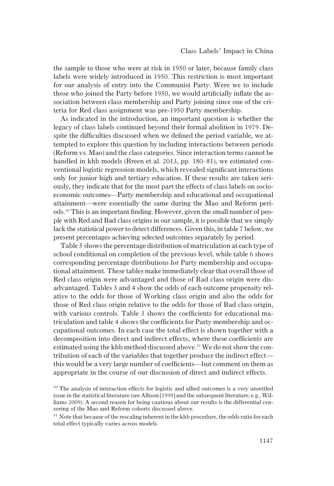the sample to those who were at risk in 1950 or later, because family class labels were widely introduced in 1950. This restriction is most important for our analysis of entry into the Communist Party. Were we to include those who joined the Party before 1950, we would artificially inflate the association between class membership and Party joining since one of the criteria for Red class assignment was pre-1950 Party membership.

As indicated in the introduction, an important question is whether the legacy of class labels continued beyond their formal abolition in 1979. Despite the difficulties discussed when we defined the period variable, we attempted to explore this question by including interactions between periods (Reform vs. Mao) and the class categories. Since interaction terms cannot be handled in khb models (Breen et al. 2013, pp. 180–81), we estimated conventional logistic regression models, which revealed significant interactions only for junior high and tertiary education. If these results are taken seriously, they indicate that for the most part the effects of class labels on socioeconomic outcomes—Party membership and educational and occupational attainment—were essentially the same during the Mao and Reform periods.<sup>30</sup> This is an important finding. However, given the small number of people with Red and Bad class origins in our sample, it is possible that we simply lack the statistical power to detect differences. Given this, in table 7 below, we present percentages achieving selected outcomes separately by period.

Table 5 shows the percentage distribution of matriculation at each type of school conditional on completion of the previous level, while table 6 shows corresponding percentage distributions for Party membership and occupational attainment. These tables make immediately clear that overall those of Red class origin were advantaged and those of Bad class origin were disadvantaged. Tables 3 and 4 show the odds of each outcome propensity relative to the odds for those of Working class origin and also the odds for those of Red class origin relative to the odds for those of Bad class origin, with various controls. Table 3 shows the coefficients for educational matriculation and table 4 shows the coefficients for Party membership and occupational outcomes. In each case the total effect is shown together with a decomposition into direct and indirect effects, where these coefficients are estimated using the khb method discussed above.<sup>31</sup> We do not show the contribution of each of the variables that together produce the indirect effect this would be a very large number of coefficients—but comment on them as appropriate in the course of our discussion of direct and indirect effects.

<sup>&</sup>lt;sup>30</sup> The analysis of interaction effects for logistic and allied outcomes is a very unsettled issue in the statistical literature (see Allison [1999] and the subsequent literature; e.g., Williams 2009). A second reason for being cautious about our results is the differential censoring of the Mao and Reform cohorts discussed above.

<sup>&</sup>lt;sup>31</sup> Note that because of the rescaling inherent in the khb procedure, the odds ratio for each total effect typically varies across models.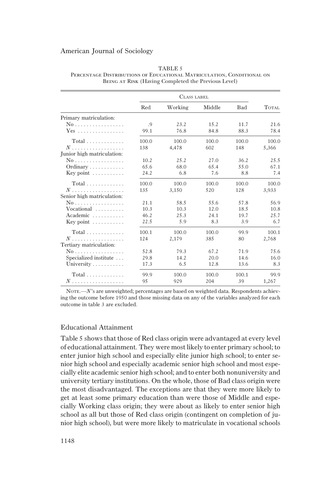|                                   |       | <b>CLASS LABEL</b> |        |       |       |
|-----------------------------------|-------|--------------------|--------|-------|-------|
|                                   | Red   | Working            | Middle | Bad   | TOTAL |
| Primary matriculation:            |       |                    |        |       |       |
| No                                | .9    | 23.2               | 15.2   | 11.7  | 21.6  |
| $Yes \ldots \ldots \ldots \ldots$ | 99.1  | 76.8               | 84.8   | 88.3  | 78.4  |
| $Total \dots \dots \dots \dots$   | 100.0 | 100.0              | 100.0  | 100.0 | 100.0 |
|                                   | 138   | 4,478              | 602    | 148   | 5,366 |
| Junior high matriculation:        |       |                    |        |       |       |
| No                                | 10.2  | 25.2               | 27.0   | 36.2  | 25.5  |
| $Ordinary \ldots \ldots \ldots$   | 65.6  | 68.0               | 65.4   | 55.0  | 67.1  |
| Key point $\dots\dots\dots\dots$  | 24.2  | 6.8                | 7.6    | 8.8   | 7.4   |
| $Total \dots \dots \dots \dots$   | 100.0 | 100.0              | 100.0  | 100.0 | 100.0 |
|                                   | 135   | 3,150              | 520    | 128   | 3,933 |
| Senior high matriculation:        |       |                    |        |       |       |
| No                                | 21.1  | 58.5               | 55.6   | 57.8  | 56.9  |
| Vocational $\ldots \ldots$        | 10.3  | 10.3               | 12.0   | 18.5  | 10.8  |
| Academic                          | 46.2  | 25.3               | 24.1   | 19.7  | 25.7  |
| Key point $\dots\dots\dots$       | 22.5  | 5.9                | 8.3    | 3.9   | 6.7   |
| $Total \ldots \ldots \ldots$      | 100.1 | 100.0              | 100.0  | 99.9  | 100.1 |
|                                   | 124   | 2,179              | 385    | 80    | 2,768 |
| Tertiary matriculation:           |       |                    |        |       |       |
| $No$                              | 52.8  | 79.3               | 67.2   | 71.9  | 75.6  |
| Specialized institute             | 29.8  | 14.2               | 20.0   | 14.6  | 16.0  |
| University                        | 17.3  | 6.5                | 12.8   | 13.6  | 8.3   |
| $Total \dots \dots \dots \dots$   | 99.9  | 100.0              | 100.0  | 100.1 | 99.9  |
| $N$                               | 95    | 929                | 204    | 39    | 1,267 |

| TABLE 5                                                               |  |
|-----------------------------------------------------------------------|--|
| Percentage Distributions of Educational Matriculation, Conditional on |  |
| BEING AT RISK (Having Completed the Previous Level)                   |  |

NOTE.—N's are unweighted; percentages are based on weighted data. Respondents achieving the outcome before 1950 and those missing data on any of the variables analyzed for each outcome in table 3 are excluded.

## Educational Attainment

Table 5 shows that those of Red class origin were advantaged at every level of educational attainment. They were most likely to enter primary school; to enter junior high school and especially elite junior high school; to enter senior high school and especially academic senior high school and most especially elite academic senior high school; and to enter both nonuniversity and university tertiary institutions. On the whole, those of Bad class origin were the most disadvantaged. The exceptions are that they were more likely to get at least some primary education than were those of Middle and especially Working class origin; they were about as likely to enter senior high school as all but those of Red class origin (contingent on completion of junior high school), but were more likely to matriculate in vocational schools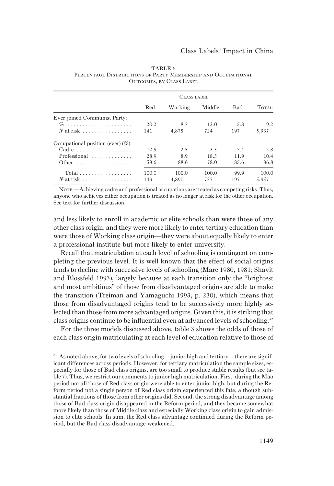|                                             |       | CLASS LABEL |        |      |              |
|---------------------------------------------|-------|-------------|--------|------|--------------|
|                                             | Red   | Working     | Middle | Bad  | <b>TOTAL</b> |
| Ever joined Communist Party:                |       |             |        |      |              |
| $\%$                                        | 20.2  | 8.7         | 12.0   | 5.8  | 9.2          |
| N at risk $\ldots \ldots \ldots \ldots$     | 141   | 4.875       | 724    | 197  | 5,937        |
| Occupational position (ever) $(\%)$ :       |       |             |        |      |              |
| Cadre                                       | 12.5  | 2.5         | 3.5    | 2.4  | 2.8          |
| Professional                                | 28.9  | 8.9         | 18.5   | 11.9 | 10.4         |
| Other                                       | 58.6  | 88.6        | 78.0   | 85.6 | 86.8         |
| $Total \dots \dots \dots \dots \dots \dots$ | 100.0 | 100.0       | 100.0  | 99.9 | 100.0        |
| $N$ at risk                                 | 143   | 4.890       | 727    | 197  | 5,957        |

| TABLE 6                                                       |
|---------------------------------------------------------------|
| Percentage Distributions of Party Membership and Occupational |
| <b>OUTCOMES. BY CLASS LABEL</b>                               |

NOTE.—Achieving cadre and professional occupations are treated as competing risks. Thus, anyone who achieves either occupation is treated as no longer at risk for the other occupation. See text for further discussion.

and less likely to enroll in academic or elite schools than were those of any other class origin; and they were more likely to enter tertiary education than were those of Working class origin—they were about equally likely to enter a professional institute but more likely to enter university.

Recall that matriculation at each level of schooling is contingent on completing the previous level. It is well known that the effect of social origins tends to decline with successive levels of schooling (Mare 1980, 1981; Shavit and Blossfeld 1993), largely because at each transition only the "brightest and most ambitious" of those from disadvantaged origins are able to make the transition (Treiman and Yamaguchi 1993, p. 230), which means that those from disadvantaged origins tend to be successively more highly selected than those from more advantaged origins. Given this, it is striking that class origins continue to be influential even at advanced levels of schooling.<sup>32</sup>

For the three models discussed above, table 3 shows the odds of those of each class origin matriculating at each level of education relative to those of

 $32$  As noted above, for two levels of schooling—junior high and tertiary—there are significant differences across periods. However, for tertiary matriculation the sample sizes, especially for those of Bad class origins, are too small to produce stable results (but see table 7). Thus, we restrict our comments to junior high matriculation. First, during the Mao period not all those of Red class origin were able to enter junior high, but during the Reform period not a single person of Red class origin experienced this fate, although substantial fractions of those from other origins did. Second, the strong disadvantage among those of Bad class origin disappeared in the Reform period, and they became somewhat more likely than those of Middle class and especially Working class origin to gain admission to elite schools. In sum, the Red class advantage continued during the Reform period, but the Bad class disadvantage weakened.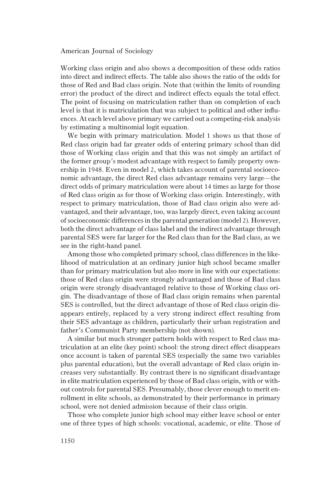Working class origin and also shows a decomposition of these odds ratios into direct and indirect effects. The table also shows the ratio of the odds for those of Red and Bad class origin. Note that (within the limits of rounding error) the product of the direct and indirect effects equals the total effect. The point of focusing on matriculation rather than on completion of each level is that it is matriculation that was subject to political and other influences. At each level above primary we carried out a competing-risk analysis by estimating a multinomial logit equation.

We begin with primary matriculation. Model 1 shows us that those of Red class origin had far greater odds of entering primary school than did those of Working class origin and that this was not simply an artifact of the former group's modest advantage with respect to family property ownership in 1948. Even in model 2, which takes account of parental socioeconomic advantage, the direct Red class advantage remains very large—the direct odds of primary matriculation were about 14 times as large for those of Red class origin as for those of Working class origin. Interestingly, with respect to primary matriculation, those of Bad class origin also were advantaged, and their advantage, too, was largely direct, even taking account of socioeconomic differences in the parental generation (model 2). However, both the direct advantage of class label and the indirect advantage through parental SES were far larger for the Red class than for the Bad class, as we see in the right-hand panel.

Among those who completed primary school, class differences in the likelihood of matriculation at an ordinary junior high school became smaller than for primary matriculation but also more in line with our expectations: those of Red class origin were strongly advantaged and those of Bad class origin were strongly disadvantaged relative to those of Working class origin. The disadvantage of those of Bad class origin remains when parental SES is controlled, but the direct advantage of those of Red class origin disappears entirely, replaced by a very strong indirect effect resulting from their SES advantage as children, particularly their urban registration and father's Communist Party membership (not shown).

A similar but much stronger pattern holds with respect to Red class matriculation at an elite (key point) school: the strong direct effect disappears once account is taken of parental SES (especially the same two variables plus parental education), but the overall advantage of Red class origin increases very substantially. By contrast there is no significant disadvantage in elite matriculation experienced by those of Bad class origin, with or without controls for parental SES. Presumably, those clever enough to merit enrollment in elite schools, as demonstrated by their performance in primary school, were not denied admission because of their class origin.

Those who complete junior high school may either leave school or enter one of three types of high schools: vocational, academic, or elite. Those of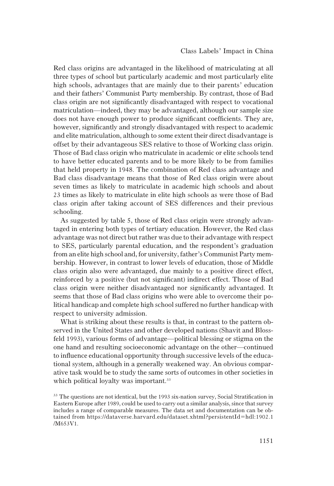Red class origins are advantaged in the likelihood of matriculating at all three types of school but particularly academic and most particularly elite high schools, advantages that are mainly due to their parents' education and their fathers' Communist Party membership. By contrast, those of Bad class origin are not significantly disadvantaged with respect to vocational matriculation—indeed, they may be advantaged, although our sample size does not have enough power to produce significant coefficients. They are, however, significantly and strongly disadvantaged with respect to academic and elite matriculation, although to some extent their direct disadvantage is offset by their advantageous SES relative to those of Working class origin. Those of Bad class origin who matriculate in academic or elite schools tend to have better educated parents and to be more likely to be from families that held property in 1948. The combination of Red class advantage and Bad class disadvantage means that those of Red class origin were about seven times as likely to matriculate in academic high schools and about 23 times as likely to matriculate in elite high schools as were those of Bad class origin after taking account of SES differences and their previous schooling.

As suggested by table 5, those of Red class origin were strongly advantaged in entering both types of tertiary education. However, the Red class advantage was not direct but rather was due to their advantage with respect to SES, particularly parental education, and the respondent's graduation from an elite high school and, for university, father's Communist Party membership. However, in contrast to lower levels of education, those of Middle class origin also were advantaged, due mainly to a positive direct effect, reinforced by a positive (but not significant) indirect effect. Those of Bad class origin were neither disadvantaged nor significantly advantaged. It seems that those of Bad class origins who were able to overcome their political handicap and complete high school suffered no further handicap with respect to university admission.

What is striking about these results is that, in contrast to the pattern observed in the United States and other developed nations (Shavit and Blossfeld 1993), various forms of advantage—political blessing or stigma on the one hand and resulting socioeconomic advantage on the other—continued to influence educational opportunity through successive levels of the educational system, although in a generally weakened way. An obvious comparative task would be to study the same sorts of outcomes in other societies in which political loyalty was important.<sup>33</sup>

<sup>&</sup>lt;sup>33</sup> The questions are not identical, but the 1993 six-nation survey, Social Stratification in Eastern Europe after 1989, could be used to carry out a similar analysis, since that survey includes a range of comparable measures. The data set and documentation can be obtained from https://dataverse.harvard.edu/dataset.xhtml?persistentId=hdl:1902.1 /M653V1.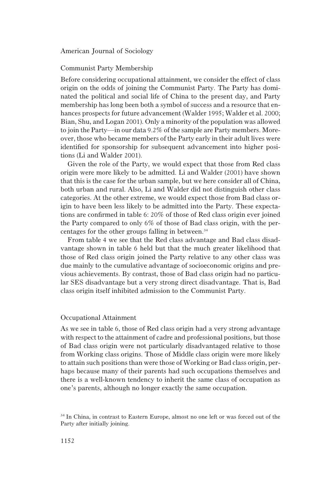#### Communist Party Membership

Before considering occupational attainment, we consider the effect of class origin on the odds of joining the Communist Party. The Party has dominated the political and social life of China to the present day, and Party membership has long been both a symbol of success and a resource that enhances prospects for future advancement (Walder 1995; Walder et al. 2000; Bian, Shu, and Logan 2001). Only a minority of the population was allowed to join the Party—in our data 9.2% of the sample are Party members. Moreover, those who became members of the Party early in their adult lives were identified for sponsorship for subsequent advancement into higher positions (Li and Walder 2001).

Given the role of the Party, we would expect that those from Red class origin were more likely to be admitted. Li and Walder (2001) have shown that this is the case for the urban sample, but we here consider all of China, both urban and rural. Also, Li and Walder did not distinguish other class categories. At the other extreme, we would expect those from Bad class origin to have been less likely to be admitted into the Party. These expectations are confirmed in table 6: 20% of those of Red class origin ever joined the Party compared to only 6% of those of Bad class origin, with the percentages for the other groups falling in between.<sup>34</sup>

From table 4 we see that the Red class advantage and Bad class disadvantage shown in table 6 held but that the much greater likelihood that those of Red class origin joined the Party relative to any other class was due mainly to the cumulative advantage of socioeconomic origins and previous achievements. By contrast, those of Bad class origin had no particular SES disadvantage but a very strong direct disadvantage. That is, Bad class origin itself inhibited admission to the Communist Party.

#### Occupational Attainment

As we see in table 6, those of Red class origin had a very strong advantage with respect to the attainment of cadre and professional positions, but those of Bad class origin were not particularly disadvantaged relative to those from Working class origins. Those of Middle class origin were more likely to attain such positions than were those of Working or Bad class origin, perhaps because many of their parents had such occupations themselves and there is a well-known tendency to inherit the same class of occupation as one's parents, although no longer exactly the same occupation.

<sup>&</sup>lt;sup>34</sup> In China, in contrast to Eastern Europe, almost no one left or was forced out of the Party after initially joining.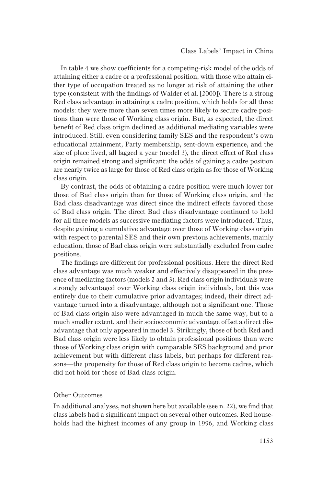In table 4 we show coefficients for a competing-risk model of the odds of attaining either a cadre or a professional position, with those who attain either type of occupation treated as no longer at risk of attaining the other type (consistent with the findings of Walder et al. [2000]). There is a strong Red class advantage in attaining a cadre position, which holds for all three models: they were more than seven times more likely to secure cadre positions than were those of Working class origin. But, as expected, the direct benefit of Red class origin declined as additional mediating variables were introduced. Still, even considering family SES and the respondent's own educational attainment, Party membership, sent-down experience, and the size of place lived, all lagged a year (model 3), the direct effect of Red class origin remained strong and significant: the odds of gaining a cadre position are nearly twice as large for those of Red class origin as for those of Working class origin.

By contrast, the odds of obtaining a cadre position were much lower for those of Bad class origin than for those of Working class origin, and the Bad class disadvantage was direct since the indirect effects favored those of Bad class origin. The direct Bad class disadvantage continued to hold for all three models as successive mediating factors were introduced. Thus, despite gaining a cumulative advantage over those of Working class origin with respect to parental SES and their own previous achievements, mainly education, those of Bad class origin were substantially excluded from cadre positions.

The findings are different for professional positions. Here the direct Red class advantage was much weaker and effectively disappeared in the presence of mediating factors (models 2 and 3). Red class origin individuals were strongly advantaged over Working class origin individuals, but this was entirely due to their cumulative prior advantages; indeed, their direct advantage turned into a disadvantage, although not a significant one. Those of Bad class origin also were advantaged in much the same way, but to a much smaller extent, and their socioeconomic advantage offset a direct disadvantage that only appeared in model 3. Strikingly, those of both Red and Bad class origin were less likely to obtain professional positions than were those of Working class origin with comparable SES background and prior achievement but with different class labels, but perhaps for different reasons—the propensity for those of Red class origin to become cadres, which did not hold for those of Bad class origin.

## Other Outcomes

In additional analyses, not shown here but available (see n. 22), we find that class labels had a significant impact on several other outcomes. Red households had the highest incomes of any group in 1996, and Working class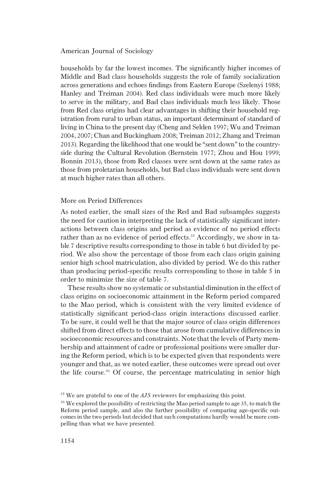households by far the lowest incomes. The significantly higher incomes of Middle and Bad class households suggests the role of family socialization across generations and echoes findings from Eastern Europe (Szelenyi 1988; Hanley and Treiman 2004). Red class individuals were much more likely to serve in the military, and Bad class individuals much less likely. Those from Red class origins had clear advantages in shifting their household registration from rural to urban status, an important determinant of standard of living in China to the present day (Cheng and Selden 1997; Wu and Treiman 2004, 2007; Chan and Buckingham 2008; Treiman 2012; Zhang and Treiman 2013). Regarding the likelihood that one would be "sent down" to the countryside during the Cultural Revolution (Bernstein 1977; Zhou and Hou 1999; Bonnin 2013), those from Red classes were sent down at the same rates as those from proletarian households, but Bad class individuals were sent down at much higher rates than all others.

## More on Period Differences

As noted earlier, the small sizes of the Red and Bad subsamples suggests the need for caution in interpreting the lack of statistically significant interactions between class origins and period as evidence of no period effects rather than as no evidence of period effects.<sup>35</sup> Accordingly, we show in table 7 descriptive results corresponding to those in table 6 but divided by period. We also show the percentage of those from each class origin gaining senior high school matriculation, also divided by period. We do this rather than producing period-specific results corresponding to those in table 5 in order to minimize the size of table 7.

These results show no systematic or substantial diminution in the effect of class origins on socioeconomic attainment in the Reform period compared to the Mao period, which is consistent with the very limited evidence of statistically significant period-class origin interactions discussed earlier. To be sure, it could well be that the major source of class origin differences shifted from direct effects to those that arose from cumulative differences in socioeconomic resources and constraints. Note that the levels of Party membership and attainment of cadre or professional positions were smaller during the Reform period, which is to be expected given that respondents were younger and that, as we noted earlier, these outcomes were spread out over the life course.<sup>36</sup> Of course, the percentage matriculating in senior high

<sup>&</sup>lt;sup>35</sup> We are grateful to one of the *AJS* reviewers for emphasizing this point.

<sup>&</sup>lt;sup>36</sup> We explored the possibility of restricting the Mao period sample to age 35, to match the Reform period sample, and also the further possibility of comparing age-specific outcomes in the two periods but decided that such computations hardly would be more compelling than what we have presented.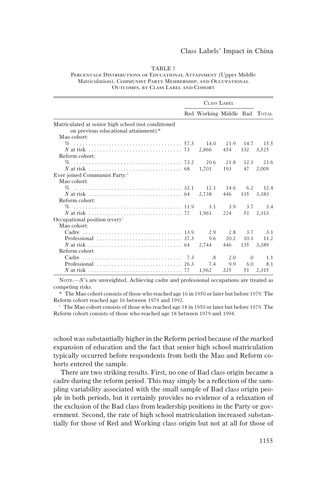| . .<br>u. |  |
|-----------|--|
|           |  |

PERCENTAGE DISTRIBUTIONS OF EDUCATIONAL ATTAINMENT (Upper Middle Matriculation), Communist Party Membership, and Occupational Outcomes, by Class Label and Cohort

|                                                                                 | <b>CLASS LABEL</b>           |                |         |               |
|---------------------------------------------------------------------------------|------------------------------|----------------|---------|---------------|
|                                                                                 | Red Working Middle Bad TOTAL |                |         |               |
| Matriculated at senior high school (not conditioned                             |                              |                |         |               |
| on previous educational attainment):*                                           |                              |                |         |               |
| Mao cohort:                                                                     |                              |                |         |               |
|                                                                                 |                              |                |         |               |
|                                                                                 |                              | 454 132 3,525  |         |               |
| Reform cohort:                                                                  |                              |                |         |               |
|                                                                                 |                              |                |         |               |
|                                                                                 |                              | 193            | 47      | 2,009         |
| Ever joined Communist Party: <sup>†</sup>                                       |                              |                |         |               |
| Mao cohort:                                                                     |                              |                |         |               |
|                                                                                 |                              |                |         |               |
|                                                                                 |                              | 446 135 3,383  |         |               |
| Reform cohort:                                                                  |                              |                |         |               |
|                                                                                 |                              |                |         |               |
|                                                                                 |                              |                |         |               |
| Occupational position (ever): <sup>†</sup>                                      |                              |                |         |               |
| Mao cohort:                                                                     |                              |                |         |               |
|                                                                                 |                              |                |         |               |
| Professional $\ldots \ldots \ldots \ldots \ldots \ldots \ldots \ldots$ 37.3 9.6 |                              | 20.2 10.1 11.2 |         |               |
|                                                                                 |                              |                |         | 446 135 3,389 |
| Reform cohort                                                                   |                              |                |         |               |
|                                                                                 |                              |                |         | 1.1           |
| Professional $\ldots \ldots \ldots \ldots \ldots \ldots \ldots \ldots$ 26.3 7.4 |                              |                | 9.9 6.0 | 8.1           |
|                                                                                 |                              |                |         | 51 2,315      |

NOTE.—N's are unweighted. Achieving cadre and professional occupations are treated as competing risks.

\* The Mao cohort consists of those who reached age 16 in 1950 or later but before 1979. The Reform cohort reached age 16 between 1979 and 1992.

 $\dagger$  The Mao cohort consists of those who reached age 18 in 1950 or later but before 1979. The Reform cohort consists of those who reached age 18 between 1979 and 1994.

school was substantially higher in the Reform period because of the marked expansion of education and the fact that senior high school matriculation typically occurred before respondents from both the Mao and Reform cohorts entered the sample.

There are two striking results. First, no one of Bad class origin became a cadre during the reform period. This may simply be a reflection of the sampling variability associated with the small sample of Bad class origin people in both periods, but it certainly provides no evidence of a relaxation of the exclusion of the Bad class from leadership positions in the Party or government. Second, the rate of high school matriculation increased substantially for those of Red and Working class origin but not at all for those of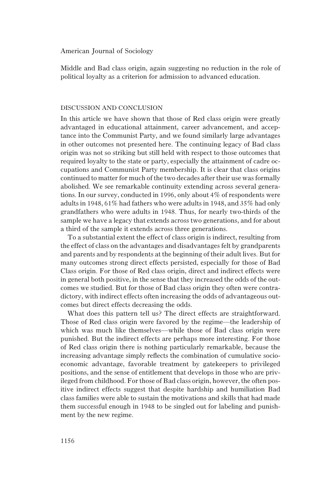Middle and Bad class origin, again suggesting no reduction in the role of political loyalty as a criterion for admission to advanced education.

## DISCUSSION AND CONCLUSION

In this article we have shown that those of Red class origin were greatly advantaged in educational attainment, career advancement, and acceptance into the Communist Party, and we found similarly large advantages in other outcomes not presented here. The continuing legacy of Bad class origin was not so striking but still held with respect to those outcomes that required loyalty to the state or party, especially the attainment of cadre occupations and Communist Party membership. It is clear that class origins continued to matter for much of the two decades after their use was formally abolished. We see remarkable continuity extending across several generations. In our survey, conducted in 1996, only about 4% of respondents were adults in 1948, 61% had fathers who were adults in 1948, and 35% had only grandfathers who were adults in 1948. Thus, for nearly two-thirds of the sample we have a legacy that extends across two generations, and for about a third of the sample it extends across three generations.

To a substantial extent the effect of class origin is indirect, resulting from the effect of class on the advantages and disadvantages felt by grandparents and parents and by respondents at the beginning of their adult lives. But for many outcomes strong direct effects persisted, especially for those of Bad Class origin. For those of Red class origin, direct and indirect effects were in general both positive, in the sense that they increased the odds of the outcomes we studied. But for those of Bad class origin they often were contradictory, with indirect effects often increasing the odds of advantageous outcomes but direct effects decreasing the odds.

What does this pattern tell us? The direct effects are straightforward. Those of Red class origin were favored by the regime—the leadership of which was much like themselves—while those of Bad class origin were punished. But the indirect effects are perhaps more interesting. For those of Red class origin there is nothing particularly remarkable, because the increasing advantage simply reflects the combination of cumulative socioeconomic advantage, favorable treatment by gatekeepers to privileged positions, and the sense of entitlement that develops in those who are privileged from childhood. For those of Bad class origin, however, the often positive indirect effects suggest that despite hardship and humiliation Bad class families were able to sustain the motivations and skills that had made them successful enough in 1948 to be singled out for labeling and punishment by the new regime.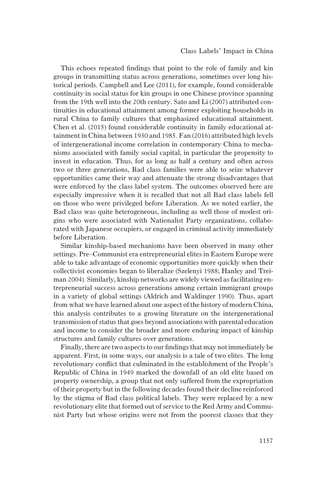This echoes repeated findings that point to the role of family and kin groups in transmitting status across generations, sometimes over long historical periods. Campbell and Lee (2011), for example, found considerable continuity in social status for kin groups in one Chinese province spanning from the 19th well into the 20th century. Sato and Li (2007) attributed continuities in educational attainment among former exploiting households in rural China to family cultures that emphasized educational attainment. Chen et al. (2015) found considerable continuity in family educational attainment in China between 1930 and 1985. Fan (2016) attributed high levels of intergenerational income correlation in contemporary China to mechanisms associated with family social capital, in particular the propensity to invest in education. Thus, for as long as half a century and often across two or three generations, Bad class families were able to seize whatever opportunities came their way and attenuate the strong disadvantages that were enforced by the class label system. The outcomes observed here are especially impressive when it is recalled that not all Bad class labels fell on those who were privileged before Liberation. As we noted earlier, the Bad class was quite heterogeneous, including as well those of modest origins who were associated with Nationalist Party organizations, collaborated with Japanese occupiers, or engaged in criminal activity immediately before Liberation.

Similar kinship-based mechanisms have been observed in many other settings. Pre–Communist era entrepreneurial elites in Eastern Europe were able to take advantage of economic opportunities more quickly when their collectivist economies began to liberalize (Szelenyi 1988; Hanley and Treiman 2004). Similarly, kinship networks are widely viewed as facilitating entrepreneurial success across generations among certain immigrant groups in a variety of global settings (Aldrich and Waldinger 1990). Thus, apart from what we have learned about one aspect of the history of modern China, this analysis contributes to a growing literature on the intergenerational transmission of status that goes beyond associations with parental education and income to consider the broader and more enduring impact of kinship structures and family cultures over generations.

Finally, there are two aspects to our findings that may not immediately be apparent. First, in some ways, our analysis is a tale of two elites. The long revolutionary conflict that culminated in the establishment of the People's Republic of China in 1949 marked the downfall of an old elite based on property ownership, a group that not only suffered from the expropriation of their property but in the following decades found their decline reinforced by the stigma of Bad class political labels. They were replaced by a new revolutionary elite that formed out of service to the Red Army and Communist Party but whose origins were not from the poorest classes that they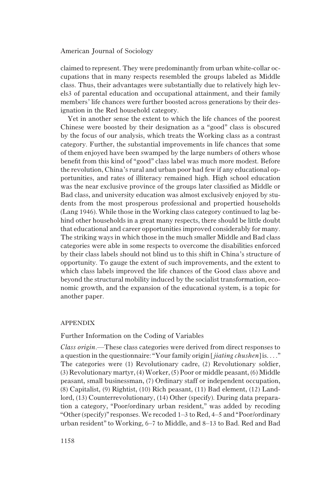claimed to represent. They were predominantly from urban white-collar occupations that in many respects resembled the groups labeled as Middle class. Thus, their advantages were substantially due to relatively high levels3 of parental education and occupational attainment, and their family members' life chances were further boosted across generations by their designation in the Red household category.

Yet in another sense the extent to which the life chances of the poorest Chinese were boosted by their designation as a "good" class is obscured by the focus of our analysis, which treats the Working class as a contrast category. Further, the substantial improvements in life chances that some of them enjoyed have been swamped by the large numbers of others whose benefit from this kind of "good" class label was much more modest. Before the revolution, China's rural and urban poor had few if any educational opportunities, and rates of illiteracy remained high. High school education was the near exclusive province of the groups later classified as Middle or Bad class, and university education was almost exclusively enjoyed by students from the most prosperous professional and propertied households (Lang 1946). While those in the Working class category continued to lag behind other households in a great many respects, there should be little doubt that educational and career opportunities improved considerably for many. The striking ways in which those in the much smaller Middle and Bad class categories were able in some respects to overcome the disabilities enforced by their class labels should not blind us to this shift in China's structure of opportunity. To gauge the extent of such improvements, and the extent to which class labels improved the life chances of the Good class above and beyond the structural mobility induced by the socialist transformation, economic growth, and the expansion of the educational system, is a topic for another paper.

## APPENDIX

# Further Information on the Coding of Variables

Class origin.—These class categories were derived from direct responses to a question in the questionnaire: "Your family origin [jiating chushen] is...." The categories were (1) Revolutionary cadre, (2) Revolutionary soldier, (3) Revolutionary martyr, (4) Worker, (5) Poor or middle peasant, (6) Middle peasant, small businessman, (7) Ordinary staff or independent occupation, (8) Capitalist, (9) Rightist, (10) Rich peasant, (11) Bad element, (12) Landlord, (13) Counterrevolutionary, (14) Other (specify). During data preparation a category, "Poor/ordinary urban resident," was added by recoding "Other (specify)"responses. We recoded 1–3 to Red, 4–5 and "Poor/ordinary urban resident" to Working, 6–7 to Middle, and 8–13 to Bad. Red and Bad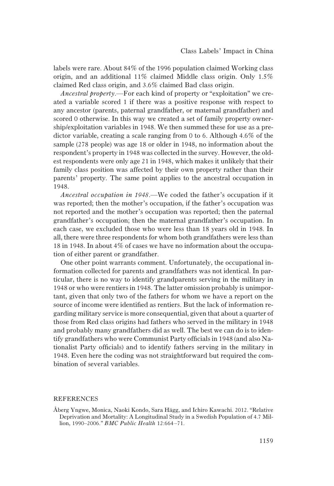labels were rare. About 84% of the 1996 population claimed Working class origin, and an additional 11% claimed Middle class origin. Only 1.5% claimed Red class origin, and 3.6% claimed Bad class origin.

Ancestral property.—For each kind of property or "exploitation" we created a variable scored 1 if there was a positive response with respect to any ancestor (parents, paternal grandfather, or maternal grandfather) and scored 0 otherwise. In this way we created a set of family property ownership/exploitation variables in 1948. We then summed these for use as a predictor variable, creating a scale ranging from 0 to 6. Although 4.6% of the sample (278 people) was age 18 or older in 1948, no information about the respondent's property in 1948 was collected in the survey. However, the oldest respondents were only age 21 in 1948, which makes it unlikely that their family class position was affected by their own property rather than their parents' property. The same point applies to the ancestral occupation in 1948.

Ancestral occupation in 1948.—We coded the father's occupation if it was reported; then the mother's occupation, if the father's occupation was not reported and the mother's occupation was reported; then the paternal grandfather's occupation; then the maternal grandfather's occupation. In each case, we excluded those who were less than 18 years old in 1948. In all, there were three respondents for whom both grandfathers were less than 18 in 1948. In about 4% of cases we have no information about the occupation of either parent or grandfather.

One other point warrants comment. Unfortunately, the occupational information collected for parents and grandfathers was not identical. In particular, there is no way to identify grandparents serving in the military in 1948 or who were rentiers in 1948. The latter omission probably is unimportant, given that only two of the fathers for whom we have a report on the source of income were identified as rentiers. But the lack of information regarding military service is more consequential, given that about a quarter of those from Red class origins had fathers who served in the military in 1948 and probably many grandfathers did as well. The best we can do is to identify grandfathers who were Communist Party officials in 1948 (and also Nationalist Party officials) and to identify fathers serving in the military in 1948. Even here the coding was not straightforward but required the combination of several variables.

## REFERENCES

Åberg Yngwe, Monica, Naoki Kondo, Sara Hägg, and Ichiro Kawachi. 2012. "Relative Deprivation and Mortality: A Longitudinal Study in a Swedish Population of 4.7 Million, 1990–2006." BMC Public Health 12:664–71.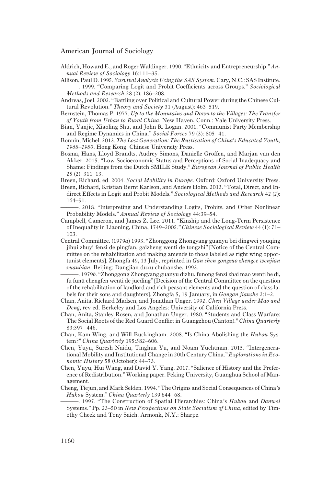- Aldrich, Howard E., and Roger Waldinger. 1990."Ethnicity and Entrepreneurship." Annual Review of Sociology 16:111–35.
- Allison, Paul D. 1995. Survival Analysis Using the SAS System. Cary, N.C.: SAS Institute. ———. 1999. "Comparing Logit and Probit Coefficients across Groups." Sociological Methods and Research 28 (2): 186–208.
- Andreas, Joel. 2002. "Battling over Political and Cultural Power during the Chinese Cultural Revolution." Theory and Society 31 (August): 463-519.
- Bernstein, Thomas P. 1977. Up to the Mountains and Down to the Villages: The Transfer of Youth from Urban to Rural China. New Haven, Conn.: Yale University Press.
- Bian, Yanjie, Xiaoling Shu, and John R. Logan. 2001. "Communist Party Membership and Regime Dynamics in China." Social Forces 79 (3): 805–41.
- Bonnin, Michel. 2013. The Lost Generation: The Rustication of China's Educated Youth, 1968–1980. Hong Kong: Chinese University Press.
- Bosma, Hans, Lloyd Brandts, Audrey Simons, Danielle Groffen, and Marjan van den Akker. 2015. "Low Socioeconomic Status and Perceptions of Social Inadequacy and Shame: Findings from the Dutch SMILE Study." European Journal of Public Health 25 (2): 311–13.
- Breen, Richard, ed. 2004. Social Mobility in Europe. Oxford: Oxford University Press.
- Breen, Richard, Kristian Bernt Karlson, and Anders Holm. 2013. "Total, Direct, and Indirect Effects in Logit and Probit Models." Sociological Methods and Research 42 (2): 164–91.
	- ———. 2018. "Interpreting and Understanding Logits, Probits, and Other Nonlinear Probability Models." Annual Review of Sociology 44:39–54.
- Campbell, Cameron, and James Z. Lee. 2011. "Kinship and the Long-Term Persistence of Inequality in Liaoning, China, 1749–2005." Chinese Sociological Review 44 (1): 71– 103.
- Central Committee. (1979a) 1993. "Zhonggong Zhongyang guanyu bei dingwei youqing jihui zhuyi fenzi de pingfan, gaizheng wenti de tongzhi" [Notice of the Central Committee on the rehabilitation and making amends to those labeled as right wing opportunist elements]. Zhongfa 49, 13 July, reprinted in Gan shen gongzuo zhengce wenjian xuanbian. Beijing: Dangjian duxu chubanshe, 1993.
- ———. 1979b."Zhonggong Zhongyang guanyu dizhu, funong fenzi zhai mao wenti he di, fu funü chengfen wenti de jueding" [Decision of the Central Committee on the question of the rehabilitation of landlord and rich peasant elements and the question of class labels for their sons and daughters]. Zhongfa 5, 19 January, in Gongan jianshe 2:1–2.
- Chan, Anita, Richard Madsen, and Jonathan Unger. 1992. Chen Village under Mao and Deng, rev ed. Berkeley and Los Angeles: University of California Press.
- Chan, Anita, Stanley Rosen, and Jonathan Unger. 1980. "Students and Class Warfare: The Social Roots of the Red Guard Conflict in Guangzhou (Canton)." China Quarterly 83:397–446.
- Chan, Kam Wing, and Will Buckingham. 2008. "Is China Abolishing the Hukou System?" China Quarterly 195:582–606.
- Chen, Yuyu, Suresh Naidu, Tinghua Yu, and Noam Yuchtman. 2015. "Intergenerational Mobility and Institutional Change in 20th Century China." Explorations in Economic History 58 (October): 44–73.
- Chen, Yuyu, Hui Wang, and David Y. Yang. 2017. "Salience of History and the Preference of Redistribution." Working paper. Peking University, Guanghua School of Management.
- Cheng, Tiejun, and Mark Selden. 1994."The Origins and Social Consequences of China's Hukou System." China Quarterly 139:644–68.
	- -. 1997. "The Construction of Spatial Hierarchies: China's Hukou and Danwei Systems." Pp. 23–50 in New Perspectives on State Socialism of China, edited by Timothy Cheek and Tony Saich. Armonk, N.Y.: Sharpe.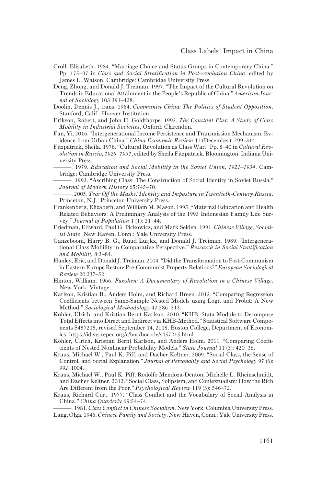- Croll, Elisabeth. 1984. "Marriage Choice and Status Groups in Contemporary China." Pp. 175–97 in Class and Social Stratification in Post-revolution China, edited by James L. Watson. Cambridge: Cambridge University Press.
- Deng, Zhong, and Donald J. Treiman. 1997. "The Impact of the Cultural Revolution on Trends in Educational Attainment in the People's Republic of China." American Journal of Sociology 103:391–428.
- Doolin, Dennis J., trans. 1964. Communist China: The Politics of Student Opposition. Stanford, Calif.: Hoover Institution.
- Erikson, Robert, and John H. Goldthorpe. 1992. The Constant Flux: A Study of Class Mobility in Industrial Societies. Oxford: Clarendon.
- Fan, Yi. 2016."Intergenerational Income Persistence and Transmission Mechanism: Evidence from Urban China." China Economic Review 41 (December): 299–314.
- Fitzpatrick, Sheila. 1978. "Cultural Revolution as Class War." Pp. 8–40 in Cultural Revolution in Russia, 1928–1931, edited by Sheila Fitzpatrick. Bloomington: Indiana University Press.
	- -. 1979. Education and Social Mobility in the Soviet Union, 1921-1934. Cambridge: Cambridge University Press.
	- ———. 1993. "Ascribing Class: The Construction of Social Identity in Soviet Russia." Journal of Modern History 65:745–70.
- ———. 2005. Tear Off the Masks! Identity and Imposture in Twentieth-Century Russia. Princeton, N.J.: Princeton University Press.
- Frankenberg, Elizabeth, and William M. Mason. 1995."Maternal Education and Health Related Behaviors: A Preliminary Analysis of the 1993 Indonesian Family Life Survey." Journal of Population 1 (1): 21–44.
- Friedman, Edward, Paul G. Pickowicz, and Mark Selden. 1991. Chinese Village, Socialist State. New Haven, Conn.: Yale University Press.
- Ganzeboom, Harry B. G., Ruud Luijkx, and Donald J. Treiman. 1989. "Intergenerational Class Mobility in Comparative Perspective." Research in Social Stratification and Mobility 8:3–84.
- Hanley, Eric, and Donald J. Treiman. 2004."Did the Transformation to Post-Communism in Eastern Europe Restore Pre-Communist Property Relations?" European Sociological Review 20:237–52.
- Hinton, William. 1966. Fanshen: A Documentary of Revolution in a Chinese Village. New York: Vintage.
- Karlson, Kristian B., Anders Holm, and Richard Breen. 2012. "Comparing Regression Coefficients between Same-Sample Nested Models using Logit and Probit: A New Method." Sociological Methodology 42:286–313.
- Kohler, Ulrich, and Kristian Bernt Karlson. 2010. "KHB: Stata Module to Decompose Total Effects into Direct and Indirect via KHB-Method." Statistical Software Components S457215, revised September 14, 2015. Boston College, Department of Economics. https://ideas.repec.org/c/boc/bocode/s457215.html.
- Kohler, Ulrich, Kristian Bernt Karlson, and Anders Holm. 2011. "Comparing Coefficients of Nested Nonlinear Probability Models." Stata Journal 11 (3): 420–38.
- Kraus, Michael W., Paul K. Piff, and Dacher Keltner. 2009. "Social Class, the Sense of Control, and Social Explanation." Journal of Personality and Social Psychology 97 (6): 992–1004.
- Kraus, Michael W., Paul K. Piff, Rodolfo Mendoza-Denton, Michelle L. Rheinschmidt, and Dacher Keltner. 2012. "Social Class, Solipsism, and Contextualism: How the Rich Are Different from the Poor." Psychological Review 119 (3): 546–72.
- Kraus, Richard Curt. 1977. "Class Conflict and the Vocabulary of Social Analysis in China." China Quarterly 69:54–74.

———. 1981. Class Conflict in Chinese Socialism. New York: Columbia University Press. Lang, Olga. 1946. Chinese Family and Society. New Haven, Conn.: Yale University Press.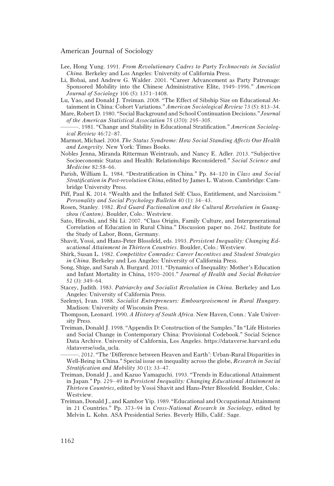- Lee, Hong Yung. 1991. From Revolutionary Cadres to Party Technocrats in Socialist China. Berkeley and Los Angeles: University of California Press.
- Li, Bobai, and Andrew G. Walder. 2001. "Career Advancement as Party Patronage: Sponsored Mobility into the Chinese Administrative Elite, 1949–1996." American Journal of Sociology 106 (5): 1371–1408.
- Lu, Yao, and Donald J. Treiman. 2008. "The Effect of Sibship Size on Educational Attainment in China: Cohort Variations." American Sociological Review 73 (5): 813–34.
- Mare, Robert D. 1980."Social Background and School Continuation Decisions." Journal of the American Statistical Association 75 (370): 295–305.
	- . 1981. "Change and Stability in Educational Stratification." American Sociological Review 46:72–87.
- Marmot, Michael. 2004. The Status Syndrome: How Social Standing Affects Our Health and Longevity. New York: Times Books.
- Nobles Jenna, Miranda Ritterman Weintraub, and Nancy E. Adler. 2013. "Subjective Socioeconomic Status and Health: Relationships Reconsidered." Social Science and Medicine 82:58–66.
- Parish, William L. 1984. "Destratification in China." Pp. 84–120 in Class and Social Stratification in Post-revolution China, edited by James L. Watson. Cambridge: Cambridge University Press.
- Piff, Paul K. 2014. "Wealth and the Inflated Self: Class, Entitlement, and Narcissism." Personality and Social Psychology Bulletin 40 (1): 34–43.
- Rosen, Stanley. 1982. Red Guard Factionalism and the Cultural Revolution in Guangzhou (Canton). Boulder, Colo.: Westview.
- Sato, Hiroshi, and Shi Li. 2007. "Class Origin, Family Culture, and Intergenerational Correlation of Education in Rural China." Discussion paper no. 2642. Institute for the Study of Labor, Bonn, Germany.
- Shavit, Yossi, and Hans-Peter Blossfeld, eds. 1993. Persistent Inequality: Changing Educational Attainment in Thirteen Countries. Boulder, Colo.: Westview.
- Shirk, Susan L. 1982. Competitive Comrades: Career Incentives and Student Strategies in China. Berkeley and Los Angeles: University of California Press.
- Song, Shige, and Sarah A. Burgard. 2011. "Dynamics of Inequality: Mother's Education and Infant Mortality in China, 1970–2001." Journal of Health and Social Behavior 52 (3): 349–64.
- Stacey, Judith. 1983. Patriarchy and Socialist Revolution in China. Berkeley and Los Angeles: University of California Press.
- Szelenyi, Ivan. 1988. Socialist Entrepreneurs: Embourgeoisement in Rural Hungary. Madison: University of Wisconsin Press.
- Thompson, Leonard. 1990. A History of South Africa. New Haven, Conn.: Yale University Press.
- Treiman, Donald J. 1998. "Appendix D: Construction of the Samples." In "Life Histories and Social Change in Contemporary China: Provisional Codebook." Social Science Data Archive. University of California, Los Angeles. https://dataverse.harvard.edu /dataverse/ssda\_ucla.
- ———. 2012. "The 'Difference between Heaven and Earth': Urban-Rural Disparities in Well-Being in China." Special issue on inequality across the globe, Research in Social Stratification and Mobility 30 (1): 33-47.
- Treiman, Donald J., and Kazuo Yamaguchi. 1993. "Trends in Educational Attainment in Japan." Pp. 229–49 in Persistent Inequality: Changing Educational Attainment in Thirteen Countries, edited by Yossi Shavit and Hans-Peter Blossfeld. Boulder, Colo.: Westview.
- Treiman, Donald J., and Kambor Yip. 1989."Educational and Occupational Attainment in 21 Countries." Pp. 373–94 in Cross-National Research in Sociology, edited by Melvin L. Kohn. ASA Presidential Series. Beverly Hills, Calif.: Sage.